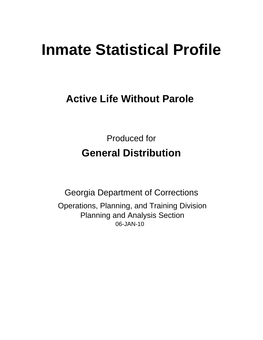# **Inmate Statistical Profile**

## **Active Life Without Parole**

**Produced for General Distribution** 

**Georgia Department of Corrections** Operations, Planning, and Training Division **Planning and Analysis Section** 06-JAN-10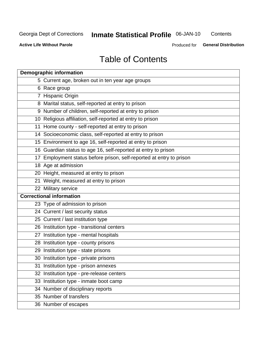## Inmate Statistical Profile 06-JAN-10

Contents

**Active Life Without Parole** 

Produced for **General Distribution** 

## **Table of Contents**

|    | <b>Demographic information</b>                                       |
|----|----------------------------------------------------------------------|
|    | 5 Current age, broken out in ten year age groups                     |
|    | 6 Race group                                                         |
|    | 7 Hispanic Origin                                                    |
|    | 8 Marital status, self-reported at entry to prison                   |
|    | 9 Number of children, self-reported at entry to prison               |
|    | 10 Religious affiliation, self-reported at entry to prison           |
|    | 11 Home county - self-reported at entry to prison                    |
|    | 14 Socioeconomic class, self-reported at entry to prison             |
|    | 15 Environment to age 16, self-reported at entry to prison           |
|    | 16 Guardian status to age 16, self-reported at entry to prison       |
|    | 17 Employment status before prison, self-reported at entry to prison |
|    | 18 Age at admission                                                  |
|    | 20 Height, measured at entry to prison                               |
|    | 21 Weight, measured at entry to prison                               |
|    | 22 Military service                                                  |
|    | <b>Correctional information</b>                                      |
|    | 23 Type of admission to prison                                       |
|    | 24 Current / last security status                                    |
|    | 25 Current / last institution type                                   |
|    | 26 Institution type - transitional centers                           |
| 27 | Institution type - mental hospitals                                  |
|    | 28 Institution type - county prisons                                 |
|    | 29 Institution type - state prisons                                  |
|    | 30 Institution type - private prisons                                |
|    | 31 Institution type - prison annexes                                 |
|    | 32 Institution type - pre-release centers                            |
|    | 33 Institution type - inmate boot camp                               |
|    | 34 Number of disciplinary reports                                    |
|    | 35 Number of transfers                                               |
|    | 36 Number of escapes                                                 |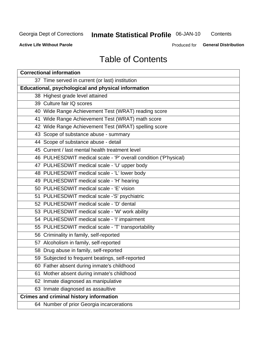## Inmate Statistical Profile 06-JAN-10

Contents

**Active Life Without Parole** 

Produced for **General Distribution** 

## **Table of Contents**

| <b>Correctional information</b>                                  |  |  |  |  |  |  |  |
|------------------------------------------------------------------|--|--|--|--|--|--|--|
| 37 Time served in current (or last) institution                  |  |  |  |  |  |  |  |
| Educational, psychological and physical information              |  |  |  |  |  |  |  |
| 38 Highest grade level attained                                  |  |  |  |  |  |  |  |
| 39 Culture fair IQ scores                                        |  |  |  |  |  |  |  |
| 40 Wide Range Achievement Test (WRAT) reading score              |  |  |  |  |  |  |  |
| 41 Wide Range Achievement Test (WRAT) math score                 |  |  |  |  |  |  |  |
| 42 Wide Range Achievement Test (WRAT) spelling score             |  |  |  |  |  |  |  |
| 43 Scope of substance abuse - summary                            |  |  |  |  |  |  |  |
| 44 Scope of substance abuse - detail                             |  |  |  |  |  |  |  |
| 45 Current / last mental health treatment level                  |  |  |  |  |  |  |  |
| 46 PULHESDWIT medical scale - 'P' overall condition ('P'hysical) |  |  |  |  |  |  |  |
| 47 PULHESDWIT medical scale - 'U' upper body                     |  |  |  |  |  |  |  |
| 48 PULHESDWIT medical scale - 'L' lower body                     |  |  |  |  |  |  |  |
| 49 PULHESDWIT medical scale - 'H' hearing                        |  |  |  |  |  |  |  |
| 50 PULHESDWIT medical scale - 'E' vision                         |  |  |  |  |  |  |  |
| 51 PULHESDWIT medical scale -'S' psychiatric                     |  |  |  |  |  |  |  |
| 52 PULHESDWIT medical scale - 'D' dental                         |  |  |  |  |  |  |  |
| 53 PULHESDWIT medical scale - 'W' work ability                   |  |  |  |  |  |  |  |
| 54 PULHESDWIT medical scale - 'I' impairment                     |  |  |  |  |  |  |  |
| 55 PULHESDWIT medical scale - 'T' transportability               |  |  |  |  |  |  |  |
| 56 Criminality in family, self-reported                          |  |  |  |  |  |  |  |
| 57 Alcoholism in family, self-reported                           |  |  |  |  |  |  |  |
| 58 Drug abuse in family, self-reported                           |  |  |  |  |  |  |  |
| 59 Subjected to frequent beatings, self-reported                 |  |  |  |  |  |  |  |
| 60 Father absent during inmate's childhood                       |  |  |  |  |  |  |  |
| Mother absent during inmate's childhood<br>61                    |  |  |  |  |  |  |  |
| 62 Inmate diagnosed as manipulative                              |  |  |  |  |  |  |  |
| 63 Inmate diagnosed as assaultive                                |  |  |  |  |  |  |  |
| <b>Crimes and criminal history information</b>                   |  |  |  |  |  |  |  |
| 64 Number of prior Georgia incarcerations                        |  |  |  |  |  |  |  |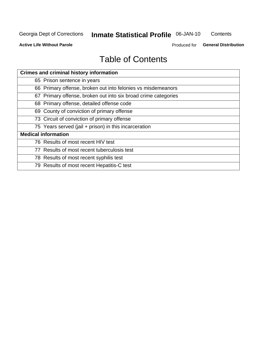## Inmate Statistical Profile 06-JAN-10

Contents

**Active Life Without Parole** 

Produced for **General Distribution** 

## **Table of Contents**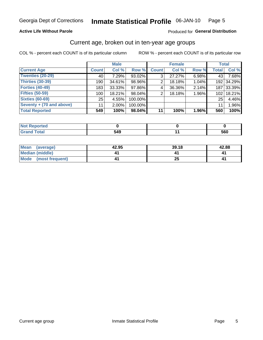#### Inmate Statistical Profile 06-JAN-10 Page 5

#### **Active Life Without Parole**

#### Produced for General Distribution

### Current age, broken out in ten-year age groups

COL % - percent each COUNT is of its particular column

|                          |              | <b>Male</b> |         |              | <b>Female</b> |          | <b>Total</b>     |            |
|--------------------------|--------------|-------------|---------|--------------|---------------|----------|------------------|------------|
| <b>Current Age</b>       | <b>Count</b> | Col %       | Row %   | <b>Count</b> | Col %         | Row %    | <b>Total</b>     | Col %      |
| <b>Twenties (20-29)</b>  | 40           | 7.29%       | 93.02%  | 3            | 27.27%        | 6.98%    | 43               | 7.68%      |
| Thirties (30-39)         | 190          | 34.61%      | 98.96%  | 2            | 18.18%        | 1.04%    |                  | 192 34.29% |
| <b>Forties (40-49)</b>   | 183          | $33.33\%$   | 97.86%  | 4            | 36.36%        | 2.14%    | 187 <sup>1</sup> | 33.39%     |
| <b>Fifties (50-59)</b>   | 100          | 18.21%      | 98.04%  | 2            | 18.18%        | 1.96%    | 102 <sub>1</sub> | 18.21%     |
| <b>Sixties (60-69)</b>   | 25           | 4.55%       | 100.00% |              |               |          | 25               | 4.46%      |
| Seventy + (70 and above) | 11           | $2.00\%$    | 100.00% |              |               |          | 11               | 1.96%      |
| <b>Total Reported</b>    | 549          | 100%        | 98.04%  | 11           | 100%          | $1.96\%$ | 560              | 100%       |

| edired      |                   |     |
|-------------|-------------------|-----|
| $rac{1}{2}$ | <b>EAO</b><br>u-o | 560 |

| <b>Mean</b><br>(average) | 42.95 | 39.18 | 42.88 |
|--------------------------|-------|-------|-------|
| Median (middle)          |       |       |       |
| Mode<br>(most frequent)  |       | ZJ    |       |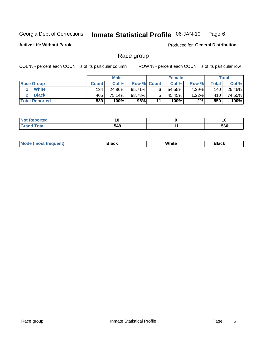#### Inmate Statistical Profile 06-JAN-10 Page 6

**Active Life Without Parole** 

Produced for General Distribution

### Race group

COL % - percent each COUNT is of its particular column

|                       |              | <b>Male</b> |                    |    | <b>Female</b> |       |       | <b>Total</b> |
|-----------------------|--------------|-------------|--------------------|----|---------------|-------|-------|--------------|
| <b>Race Group</b>     | <b>Count</b> | Col %       | <b>Row % Count</b> |    | Col %         | Row % | Total | Col %        |
| <b>White</b>          | 134          | 24.86%      | 95.71%             |    | 54.55%        | 4.29% | 140   | 25.45%       |
| <b>Black</b>          | 405          | 75.14%      | 98.78%             |    | 45.45%        | 1.22% | 410   | 74.55%       |
| <b>Total Reported</b> | 539          | 100%        | 98%                | 11 | 100%          | 2%    | 550   | 100%         |

| <b>Not Reported</b> | 10  | ιv  |
|---------------------|-----|-----|
| <b>Total</b>        | 549 | 560 |

| M | ------- | White | ------- |
|---|---------|-------|---------|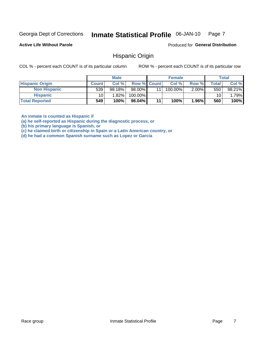#### Inmate Statistical Profile 06-JAN-10 Page 7

**Active Life Without Parole** 

Produced for General Distribution

### **Hispanic Origin**

COL % - percent each COUNT is of its particular column

ROW % - percent each COUNT is of its particular row

|                        |                 | <b>Male</b> |             |    | <b>Female</b> |          |                  | <b>Total</b> |
|------------------------|-----------------|-------------|-------------|----|---------------|----------|------------------|--------------|
| <b>Hispanic Origin</b> | <b>Count</b>    | Col %       | Row % Count |    | Col %         | Row %    | Total            | Col %        |
| <b>Non Hispanic</b>    | 539             | 98.18%      | 98.00%      | 11 | 100.00%       | $2.00\%$ | 550 <sub>1</sub> | 98.21%       |
| <b>Hispanic</b>        | 10 <sub>1</sub> | 1.82%       | 100.00%     |    |               |          | 10               | 1.79%        |
| <b>Total Reported</b>  | 549             | 100%        | $98.04\%$   | 11 | 100%          | 1.96%    | 560              | 100%         |

An inmate is counted as Hispanic if

(a) he self-reported as Hispanic during the diagnostic process, or

(b) his primary language is Spanish, or

(c) he claimed birth or citizenship in Spain or a Latin American country, or

(d) he had a common Spanish surname such as Lopez or Garcia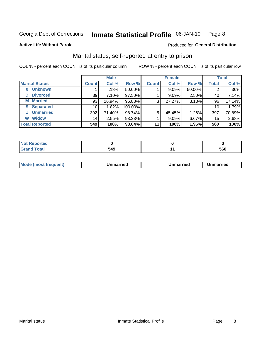#### Inmate Statistical Profile 06-JAN-10 Page 8

**Active Life Without Parole** 

#### Produced for General Distribution

### Marital status, self-reported at entry to prison

COL % - percent each COUNT is of its particular column

|                            | <b>Male</b>  |        |         | <b>Female</b> |        |        | <b>Total</b> |        |
|----------------------------|--------------|--------|---------|---------------|--------|--------|--------------|--------|
| <b>Marital Status</b>      | <b>Count</b> | Col %  | Row %   | <b>Count</b>  | Col %  | Row %  | <b>Total</b> | Col %  |
| <b>Unknown</b><br>$\bf{0}$ |              | .18%   | 50.00%  |               | 9.09%  | 50.00% | 2            | .36%   |
| <b>Divorced</b><br>D       | 39           | 7.10%  | 97.50%  |               | 9.09%  | 2.50%  | 40           | 7.14%  |
| <b>Married</b><br>М        | 93           | 16.94% | 96.88%  | 3             | 27.27% | 3.13%  | 96           | 17.14% |
| <b>Separated</b><br>S      | 10           | 1.82%  | 100.00% |               |        |        | 10           | 1.79%  |
| <b>Unmarried</b><br>U      | 392          | 71.40% | 98.74%  | 5             | 45.45% | 1.26%  | 397          | 70.89% |
| <b>Widow</b><br>W          | 14           | 2.55%  | 93.33%  |               | 9.09%  | 6.67%  | 15           | 2.68%  |
| <b>Total Reported</b>      | 549          | 100%   | 98.04%  | 11            | 100%   | 1.96%  | 560          | 100%   |

| prted<br>NOT |              |            |
|--------------|--------------|------------|
|              | r 10<br>-949 | cen<br>วงบ |

|  | M | . | Unmarried | າmarried<br>_____ |
|--|---|---|-----------|-------------------|
|--|---|---|-----------|-------------------|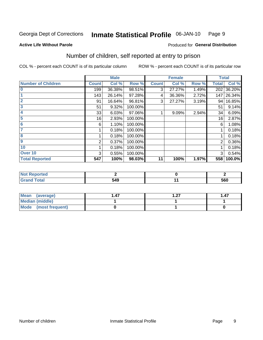#### Inmate Statistical Profile 06-JAN-10 Page 9

**Produced for General Distribution** 

#### **Active Life Without Parole**

## Number of children, self reported at entry to prison

COL % - percent each COUNT is of its particular column

|                           |              | <b>Male</b> |         |              | <b>Female</b> |       |              | <b>Total</b> |
|---------------------------|--------------|-------------|---------|--------------|---------------|-------|--------------|--------------|
| <b>Number of Children</b> | <b>Count</b> | Col %       | Row %   | <b>Count</b> | Col %         | Row % | <b>Total</b> | Col %        |
| $\bf{0}$                  | 199          | 36.38%      | 98.51%  | 3            | 27.27%        | 1.49% | 202          | 36.20%       |
|                           | 143          | 26.14%      | 97.28%  | 4            | 36.36%        | 2.72% | 147          | 26.34%       |
| $\overline{2}$            | 91           | 16.64%      | 96.81%  | 3            | 27.27%        | 3.19% | 94           | 16.85%       |
| 3                         | 51           | 9.32%       | 100.00% |              |               |       | 51           | 9.14%        |
| 4                         | 33           | 6.03%       | 97.06%  |              | 9.09%         | 2.94% | 34           | 6.09%        |
| 5                         | 16           | 2.93%       | 100.00% |              |               |       | 16           | 2.87%        |
| 6                         | 6            | 1.10%       | 100.00% |              |               |       | 6            | 1.08%        |
| 7                         |              | 0.18%       | 100.00% |              |               |       |              | 0.18%        |
| 8                         |              | 0.18%       | 100.00% |              |               |       |              | 0.18%        |
| $\boldsymbol{9}$          | 2            | 0.37%       | 100.00% |              |               |       | 2            | 0.36%        |
| 10                        |              | 0.18%       | 100.00% |              |               |       |              | 0.18%        |
| Over 10                   | 3            | 0.55%       | 100.00% |              |               |       | 3            | 0.54%        |
| <b>Total Reported</b>     | 547          | 100%        | 98.03%  | 11           | 100%          | 1.97% | 558          | 100.0%       |

| τeα<br>$\sim$<br>. |     |     |
|--------------------|-----|-----|
| υιαι<br>_____      | 549 | 560 |

| Mean<br>(average)       | .47 | דר | 1.47 |
|-------------------------|-----|----|------|
| <b>Median (middle)</b>  |     |    |      |
| Mode<br>(most frequent) |     |    |      |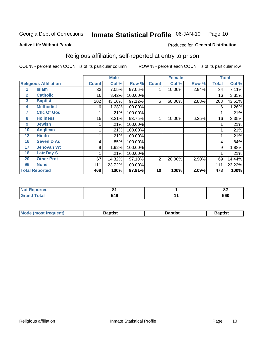#### Inmate Statistical Profile 06-JAN-10 Page 10

#### **Active Life Without Parole**

#### Produced for General Distribution

### Religious affiliation, self-reported at entry to prison

COL % - percent each COUNT is of its particular column

|              |                              |              | <b>Male</b> |         |              | <b>Female</b> |       |              | <b>Total</b> |
|--------------|------------------------------|--------------|-------------|---------|--------------|---------------|-------|--------------|--------------|
|              | <b>Religious Affiliation</b> | <b>Count</b> | Col %       | Row %   | <b>Count</b> | Col %         | Row % | <b>Total</b> | Col %        |
|              | Islam                        | 33           | 7.05%       | 97.06%  |              | 10.00%        | 2.94% | 34           | 7.11%        |
| $\mathbf{2}$ | <b>Catholic</b>              | 16           | 3.42%       | 100.00% |              |               |       | 16           | 3.35%        |
| 3            | <b>Baptist</b>               | 202          | 43.16%      | 97.12%  | 6            | 60.00%        | 2.88% | 208          | 43.51%       |
| 4            | <b>Methodist</b>             | 6            | 1.28%       | 100.00% |              |               |       | 6            | 1.26%        |
| 7            | <b>Chc Of God</b>            |              | .21%        | 100.00% |              |               |       |              | .21%         |
| 8            | <b>Holiness</b>              | 15           | 3.21%       | 93.75%  |              | 10.00%        | 6.25% | 16           | 3.35%        |
| 9            | <b>Jewish</b>                |              | .21%        | 100.00% |              |               |       |              | .21%         |
| 10           | <b>Anglican</b>              |              | .21%        | 100.00% |              |               |       |              | .21%         |
| 12           | <b>Hindu</b>                 |              | .21%        | 100.00% |              |               |       |              | .21%         |
| 16           | <b>Seven D Ad</b>            | 4            | .85%        | 100.00% |              |               |       | 4            | .84%         |
| 17           | <b>Jehovah Wt</b>            | 9            | 1.92%       | 100.00% |              |               |       | 9            | 1.88%        |
| 18           | <b>Latr Day S</b>            |              | .21%        | 100.00% |              |               |       |              | .21%         |
| 20           | <b>Other Prot</b>            | 67           | 14.32%      | 97.10%  | 2            | 20.00%        | 2.90% | 69           | 14.44%       |
| 96           | <b>None</b>                  | 111          | 23.72%      | 100.00% |              |               |       | 111          | 23.22%       |
|              | <b>Total Reported</b>        | 468          | 100%        | 97.91%  | 10           | 100%          | 2.09% | 478          | 100%         |

| rreo<br>. |     |               | - -<br> |
|-----------|-----|---------------|---------|
| _____     | 549 | $\sim$ $\sim$ | 560     |

| <b>Mode (most frequent)</b> | 3aptist | Baptist | Baptist |
|-----------------------------|---------|---------|---------|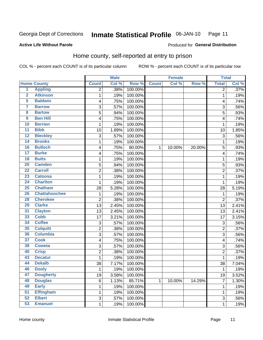#### Inmate Statistical Profile 06-JAN-10 Page 11

Produced for General Distribution

#### **Active Life Without Parole**

### Home county, self-reported at entry to prison

COL % - percent each COUNT is of its particular column

|                         |                      |                | <b>Male</b> |         |              | <b>Female</b> |        | <b>Total</b>   |       |
|-------------------------|----------------------|----------------|-------------|---------|--------------|---------------|--------|----------------|-------|
|                         | <b>Home County</b>   | <b>Count</b>   | Col %       | Row %   | <b>Count</b> | Col %         | Row %  | <b>Total</b>   | Col % |
| $\overline{1}$          | <b>Appling</b>       | $\overline{2}$ | .38%        | 100.00% |              |               |        | $\overline{2}$ | .37%  |
| $\overline{2}$          | <b>Atkinson</b>      | 1              | .19%        | 100.00% |              |               |        | 1              | .19%  |
| 5                       | <b>Baldwin</b>       | 4              | .75%        | 100.00% |              |               |        | 4              | .74%  |
| 7                       | <b>Barrow</b>        | 3              | .57%        | 100.00% |              |               |        | 3              | .56%  |
| $\overline{\mathbf{8}}$ | <b>Bartow</b>        | 5              | .94%        | 100.00% |              |               |        | 5              | .93%  |
| $\boldsymbol{9}$        | <b>Ben Hill</b>      | 4              | .75%        | 100.00% |              |               |        | 4              | .74%  |
| 10                      | <b>Berrien</b>       | 1              | .19%        | 100.00% |              |               |        | 1              | .19%  |
| 11                      | <b>Bibb</b>          | 10             | 1.89%       | 100.00% |              |               |        | 10             | 1.85% |
| $\overline{12}$         | <b>Bleckley</b>      | 3              | .57%        | 100.00% |              |               |        | 3              | .56%  |
| 14                      | <b>Brooks</b>        | 1              | .19%        | 100.00% |              |               |        | 1              | .19%  |
| 16                      | <b>Bulloch</b>       | 4              | .75%        | 80.00%  | 1            | 10.00%        | 20.00% | 5              | .93%  |
| $\overline{17}$         | <b>Burke</b>         | 4              | .75%        | 100.00% |              |               |        | 4              | .74%  |
| $\overline{18}$         | <b>Butts</b>         | 1              | .19%        | 100.00% |              |               |        | 1              | .19%  |
| 20                      | <b>Camden</b>        | 5              | .94%        | 100.00% |              |               |        | 5              | .93%  |
| $\overline{22}$         | <b>Carroll</b>       | $\overline{2}$ | .38%        | 100.00% |              |               |        | $\overline{2}$ | .37%  |
| 23                      | <b>Catoosa</b>       | 1              | .19%        | 100.00% |              |               |        | 1              | .19%  |
| 24                      | <b>Charlton</b>      | 1              | .19%        | 100.00% |              |               |        | 1              | .19%  |
| 25                      | <b>Chatham</b>       | 28             | 5.28%       | 100.00% |              |               |        | 28             | 5.19% |
| 26                      | <b>Chattahoochee</b> | 1              | .19%        | 100.00% |              |               |        | 1              | .19%  |
| 28                      | <b>Cherokee</b>      | 2              | .38%        | 100.00% |              |               |        | $\overline{2}$ | .37%  |
| 29                      | <b>Clarke</b>        | 13             | 2.45%       | 100.00% |              |               |        | 13             | 2.41% |
| 31                      | <b>Clayton</b>       | 13             | 2.45%       | 100.00% |              |               |        | 13             | 2.41% |
| 33                      | <b>Cobb</b>          | 17             | 3.21%       | 100.00% |              |               |        | 17             | 3.15% |
| 34                      | <b>Coffee</b>        | 3              | .57%        | 100.00% |              |               |        | 3              | .56%  |
| 35                      | <b>Colquitt</b>      | $\overline{2}$ | .38%        | 100.00% |              |               |        | $\overline{2}$ | .37%  |
| 36                      | <b>Columbia</b>      | 3              | .57%        | 100.00% |              |               |        | 3              | .56%  |
| 37                      | <b>Cook</b>          | 4              | .75%        | 100.00% |              |               |        | 4              | .74%  |
| 38                      | <b>Coweta</b>        | 3              | .57%        | 100.00% |              |               |        | 3              | .56%  |
| 40                      | <b>Crisp</b>         | $\overline{2}$ | .38%        | 100.00% |              |               |        | $\overline{2}$ | .37%  |
| 43                      | <b>Decatur</b>       | 1              | .19%        | 100.00% |              |               |        | 1              | .19%  |
| 44                      | <b>Dekalb</b>        | 38             | 7.17%       | 100.00% |              |               |        | 38             | 7.04% |
| 46                      | <b>Dooly</b>         | 1              | .19%        | 100.00% |              |               |        | 1              | .19%  |
| 47                      | <b>Dougherty</b>     | 19             | 3.58%       | 100.00% |              |               |        | 19             | 3.52% |
| 48                      | <b>Douglas</b>       | 6              | 1.13%       | 85.71%  | $\mathbf{1}$ | 10.00%        | 14.29% | 7              | 1.30% |
| 49                      | <b>Early</b>         | 1              | .19%        | 100.00% |              |               |        | 1              | .19%  |
| 51                      | <b>Effingham</b>     | 1              | .19%        | 100.00% |              |               |        | 1              | .19%  |
| 52                      | <b>Elbert</b>        | 3              | .57%        | 100.00% |              |               |        | 3              | .56%  |
| 53                      | <b>Emanuel</b>       | $\mathbf 1$    | .19%        | 100.00% |              |               |        | 1              | .19%  |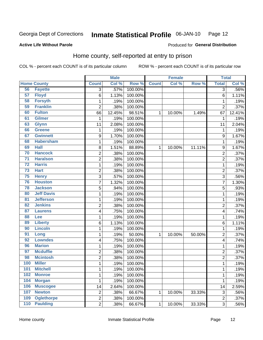#### Inmate Statistical Profile 06-JAN-10 Page 12

#### **Active Life Without Parole**

#### **Produced for General Distribution**

### Home county, self-reported at entry to prison

COL % - percent each COUNT is of its particular column

|                 |                    |                | <b>Male</b> |         |              | <b>Female</b> |        | <b>Total</b>   |         |
|-----------------|--------------------|----------------|-------------|---------|--------------|---------------|--------|----------------|---------|
|                 | <b>Home County</b> | <b>Count</b>   | Col %       | Row %   | <b>Count</b> | Col %         | Row %  | <b>Total</b>   | Col %   |
| 56              | <b>Fayette</b>     | $\overline{3}$ | .57%        | 100.00% |              |               |        | $\overline{3}$ | $.56\%$ |
| 57              | <b>Floyd</b>       | 6              | 1.13%       | 100.00% |              |               |        | $6\phantom{1}$ | 1.11%   |
| 58              | <b>Forsyth</b>     | $\mathbf 1$    | .19%        | 100.00% |              |               |        | 1              | .19%    |
| 59              | <b>Franklin</b>    | $\overline{2}$ | .38%        | 100.00% |              |               |        | $\overline{2}$ | .37%    |
| 60              | <b>Fulton</b>      | 66             | 12.45%      | 98.51%  | 1            | 10.00%        | 1.49%  | 67             | 12.41%  |
| 61              | <b>Gilmer</b>      | 1              | .19%        | 100.00% |              |               |        | 1              | .19%    |
| 63              | <b>Glynn</b>       | 11             | 2.08%       | 100.00% |              |               |        | 11             | 2.04%   |
| 66              | <b>Greene</b>      | 1              | .19%        | 100.00% |              |               |        | 1              | .19%    |
| 67              | <b>Gwinnett</b>    | 9              | 1.70%       | 100.00% |              |               |        | 9              | 1.67%   |
| 68              | <b>Habersham</b>   | $\mathbf 1$    | .19%        | 100.00% |              |               |        | 1              | .19%    |
| 69              | <b>Hall</b>        | 8              | 1.51%       | 88.89%  | 1            | 10.00%        | 11.11% | 9              | 1.67%   |
| 70              | <b>Hancock</b>     | 2              | .38%        | 100.00% |              |               |        | 2              | .37%    |
| $\overline{71}$ | <b>Haralson</b>    | $\overline{2}$ | .38%        | 100.00% |              |               |        | $\overline{2}$ | .37%    |
| $\overline{72}$ | <b>Harris</b>      | $\mathbf 1$    | .19%        | 100.00% |              |               |        | 1              | .19%    |
| 73              | <b>Hart</b>        | $\overline{2}$ | .38%        | 100.00% |              |               |        | $\overline{2}$ | .37%    |
| 75              | <b>Henry</b>       | 3              | .57%        | 100.00% |              |               |        | 3              | .56%    |
| 76              | <b>Houston</b>     | $\overline{7}$ | 1.32%       | 100.00% |              |               |        | 7              | 1.30%   |
| 78              | <b>Jackson</b>     | 5              | .94%        | 100.00% |              |               |        | 5              | .93%    |
| 80              | <b>Jeff Davis</b>  | $\mathbf 1$    | .19%        | 100.00% |              |               |        | 1              | .19%    |
| 81              | <b>Jefferson</b>   | $\mathbf 1$    | .19%        | 100.00% |              |               |        | 1              | .19%    |
| 82              | <b>Jenkins</b>     | $\overline{2}$ | .38%        | 100.00% |              |               |        | $\overline{2}$ | .37%    |
| 87              | <b>Laurens</b>     | 4              | .75%        | 100.00% |              |               |        | 4              | .74%    |
| 88              | Lee                | 1              | .19%        | 100.00% |              |               |        | 1              | .19%    |
| 89              | <b>Liberty</b>     | 6              | 1.13%       | 100.00% |              |               |        | 6              | 1.11%   |
| 90              | <b>Lincoln</b>     | $\mathbf 1$    | .19%        | 100.00% |              |               |        | 1              | .19%    |
| 91              | Long               | $\mathbf 1$    | .19%        | 50.00%  | 1            | 10.00%        | 50.00% | $\overline{2}$ | .37%    |
| 92              | <b>Lowndes</b>     | 4              | .75%        | 100.00% |              |               |        | 4              | .74%    |
| 96              | <b>Marion</b>      | 1              | .19%        | 100.00% |              |               |        | 1              | .19%    |
| 97              | <b>Mcduffie</b>    | $\overline{c}$ | .38%        | 100.00% |              |               |        | 2              | .37%    |
| 98              | <b>Mcintosh</b>    | $\overline{c}$ | .38%        | 100.00% |              |               |        | $\overline{2}$ | .37%    |
| 100             | <b>Miller</b>      | $\mathbf 1$    | .19%        | 100.00% |              |               |        | 1              | .19%    |
| <b>101</b>      | <b>Mitchell</b>    | 1              | .19%        | 100.00% |              |               |        | 1              | .19%    |
| 102             | <b>Monroe</b>      | $\mathbf 1$    | .19%        | 100.00% |              |               |        | 1              | .19%    |
| 104             | <b>Morgan</b>      | 1              | .19%        | 100.00% |              |               |        | 1              | .19%    |
| 106             | <b>Muscogee</b>    | 14             | 2.64%       | 100.00% |              |               |        | 14             | 2.59%   |
| 107             | <b>Newton</b>      | $\overline{c}$ | .38%        | 66.67%  | 1            | 10.00%        | 33.33% | $\sqrt{3}$     | .56%    |
| 109             | <b>Oglethorpe</b>  | $\overline{c}$ | .38%        | 100.00% |              |               |        | 2              | .37%    |
| 110             | <b>Paulding</b>    | $\overline{2}$ | .38%        | 66.67%  | $\mathbf 1$  | 10.00%        | 33.33% | $\overline{3}$ | .56%    |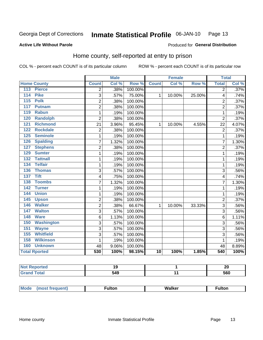#### Inmate Statistical Profile 06-JAN-10 Page 13

#### **Active Life Without Parole**

#### Produced for General Distribution

### Home county, self-reported at entry to prison

COL % - percent each COUNT is of its particular column

|                  |                      |                | <b>Male</b> |         |              | <b>Female</b> |        | <b>Total</b>   |       |
|------------------|----------------------|----------------|-------------|---------|--------------|---------------|--------|----------------|-------|
|                  | <b>Home County</b>   | <b>Count</b>   | Col %       | Row %   | <b>Count</b> | Col %         | Row %  | <b>Total</b>   | Col % |
| 113              | <b>Pierce</b>        | 2              | .38%        | 100.00% |              |               |        | 2              | .37%  |
| 114              | <b>Pike</b>          | 3              | .57%        | 75.00%  | 1            | 10.00%        | 25.00% | 4              | .74%  |
| 115              | <b>Polk</b>          | $\overline{2}$ | .38%        | 100.00% |              |               |        | $\overline{2}$ | .37%  |
| 117              | <b>Putnam</b>        | $\overline{2}$ | .38%        | 100.00% |              |               |        | $\overline{2}$ | .37%  |
| 119              | <b>Rabun</b>         | 1              | .19%        | 100.00% |              |               |        | 1              | .19%  |
| 120              | <b>Randolph</b>      | $\overline{2}$ | .38%        | 100.00% |              |               |        | $\overline{2}$ | .37%  |
| 121              | <b>Richmond</b>      | 21             | 3.96%       | 95.45%  | 1            | 10.00%        | 4.55%  | 22             | 4.07% |
| 122              | <b>Rockdale</b>      | $\overline{2}$ | .38%        | 100.00% |              |               |        | $\overline{2}$ | .37%  |
| 125              | <b>Seminole</b>      | 1              | .19%        | 100.00% |              |               |        | 1              | .19%  |
| 126              | <b>Spalding</b>      | $\overline{7}$ | 1.32%       | 100.00% |              |               |        | 7              | 1.30% |
| 127              | <b>Stephens</b>      | $\overline{c}$ | .38%        | 100.00% |              |               |        | $\overline{2}$ | .37%  |
| 129              | <b>Sumter</b>        | 1              | .19%        | 100.00% |              |               |        | 1              | .19%  |
| $\overline{132}$ | <b>Tattnall</b>      | $\mathbf 1$    | .19%        | 100.00% |              |               |        | 1              | .19%  |
| 134              | <b>Telfair</b>       | 1              | .19%        | 100.00% |              |               |        | 1              | .19%  |
| 136              | <b>Thomas</b>        | 3              | .57%        | 100.00% |              |               |        | 3              | .56%  |
| 137              | <b>Tift</b>          | 4              | .75%        | 100.00% |              |               |        | 4              | .74%  |
| 138              | <b>Toombs</b>        | $\overline{7}$ | 1.32%       | 100.00% |              |               |        | 7              | 1.30% |
| 142              | <b>Turner</b>        | 1              | .19%        | 100.00% |              |               |        | 1              | .19%  |
| 144              | <b>Union</b>         | 1              | .19%        | 100.00% |              |               |        | 1              | .19%  |
| 145              | <b>Upson</b>         | $\overline{2}$ | .38%        | 100.00% |              |               |        | $\overline{2}$ | .37%  |
| 146              | <b>Walker</b>        | $\overline{2}$ | .38%        | 66.67%  | 1            | 10.00%        | 33.33% | 3              | .56%  |
| 147              | <b>Walton</b>        | 3              | .57%        | 100.00% |              |               |        | 3              | .56%  |
| 148              | <b>Ware</b>          | 6              | 1.13%       | 100.00% |              |               |        | 6              | 1.11% |
| 150              | <b>Washington</b>    | 3              | .57%        | 100.00% |              |               |        | 3              | .56%  |
| 151              | <b>Wayne</b>         | 3              | .57%        | 100.00% |              |               |        | 3              | .56%  |
| 155              | <b>Whitfield</b>     | 3              | .57%        | 100.00% |              |               |        | 3              | .56%  |
| 158              | <b>Wilkinson</b>     | 1              | .19%        | 100.00% |              |               |        | 1              | .19%  |
| 160              | <b>Unknown</b>       | 48             | 9.06%       | 100.00% |              |               |        | 48             | 8.89% |
|                  | <b>Total Rported</b> | 530            | 100%        | 98.15%  | 10           | 100%          | 1.85%  | 540            | 100%  |

| n.<br>porteg |     | nr.<br>ZU  |
|--------------|-----|------------|
| $\sim$       | 549 | ---<br>560 |

| Mode<br>W.<br>i Isar<br>∙ulton<br>- -<br>IW<br>____ |
|-----------------------------------------------------|
|-----------------------------------------------------|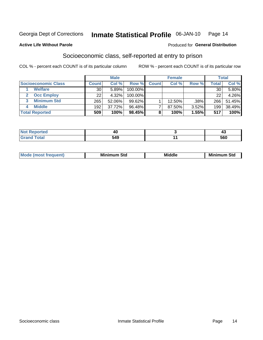#### Inmate Statistical Profile 06-JAN-10 Page 14

#### **Active Life Without Parole**

#### **Produced for General Distribution**

### Socioeconomic class, self-reported at entry to prison

COL % - percent each COUNT is of its particular column

|                       |        | <b>Male</b> |           |              | <b>Female</b> |       |              | <b>Total</b> |
|-----------------------|--------|-------------|-----------|--------------|---------------|-------|--------------|--------------|
| Socioeconomic Class   | Count⊺ | Col %       | Row %     | <b>Count</b> | Col %         | Row % | <b>Total</b> | Col %        |
| <b>Welfare</b>        | 30     | 5.89%       | 100.00%   |              |               |       | 30           | 5.80%        |
| <b>Occ Employ</b>     | 22     | 4.32%       | 100.00%   |              |               |       | 22           | 4.26%        |
| <b>Minimum Std</b>    | 265    | 52.06%      | $99.62\%$ |              | 12.50%        | .38%  | 266          | 51.45%       |
| <b>Middle</b><br>4    | 192    | 37.72%      | 96.48%    |              | 87.50%        | 3.52% | 199          | 38.49%       |
| <b>Total Reported</b> | 509    | 100%        | 98.45%    |              | 100%          | 1.55% | 517          | 100%         |

|       | 40  |                     |
|-------|-----|---------------------|
| _____ | 549 | r <u>n</u> n<br>υσς |

|  | Mo | Minin<br>Std<br>$- - - -$ | <b>Middle</b> | Min<br>Std<br>. |
|--|----|---------------------------|---------------|-----------------|
|--|----|---------------------------|---------------|-----------------|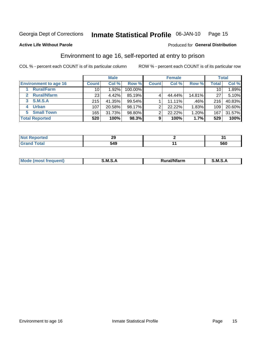#### Inmate Statistical Profile 06-JAN-10 Page 15

#### **Active Life Without Parole**

#### Produced for General Distribution

### Environment to age 16, self-reported at entry to prison

COL % - percent each COUNT is of its particular column

|                                    |                 | <b>Male</b> |         |              | <b>Female</b> |        |                 | <b>Total</b> |
|------------------------------------|-----------------|-------------|---------|--------------|---------------|--------|-----------------|--------------|
| <b>Environment to age 16</b>       | <b>Count</b>    | Col %       | Row %   | <b>Count</b> | Col %         | Row %  | Total           | Col %        |
| <b>Rural/Farm</b>                  | 10              | $.92\%$     | 100.00% |              |               |        | 10 <sub>1</sub> | 1.89%        |
| <b>Rural/Nfarm</b><br>$\mathbf{2}$ | 23 <sub>1</sub> | 4.42%       | 85.19%  |              | 44.44%        | 14.81% | 27              | 5.10%        |
| 3 S.M.S.A                          | 215             | 41.35%      | 99.54%  |              | 11.11%        | .46%   | 216             | 40.83%       |
| <b>Urban</b><br>4                  | 107             | 20.58%      | 98.17%  | ⌒            | 22.22%        | 1.83%  | 109             | 20.60%       |
| 5 Small Town                       | 165             | 31.73%      | 98.80%  | ⌒            | 22.22%        | 1.20%  | 167             | 31.57%       |
| <b>Total Reported</b>              | 520             | 100%        | 98.3%   | 9            | 100%          | 1.7%   | 529             | 100%         |

| <b>Not Reported</b> |     |            |
|---------------------|-----|------------|
| <b>Total</b>        | 549 | ccn<br>วงบ |

| Mo | M | .<br>.<br>.<br>arm | M<br>_____ |
|----|---|--------------------|------------|
|    |   |                    |            |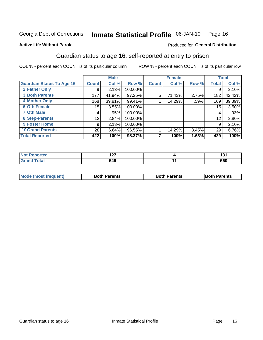#### Inmate Statistical Profile 06-JAN-10 Page 16

#### **Active Life Without Parole**

#### Produced for General Distribution

### Guardian status to age 16, self-reported at entry to prison

COL % - percent each COUNT is of its particular column

|                                  |              | <b>Male</b> |         |              | <b>Female</b> |       |                 | <b>Total</b> |
|----------------------------------|--------------|-------------|---------|--------------|---------------|-------|-----------------|--------------|
| <b>Guardian Status To Age 16</b> | <b>Count</b> | Col %       | Row %   | <b>Count</b> | Col %         | Row % | <b>Total</b>    | Col %        |
| 2 Father Only                    | 9            | 2.13%       | 100.00% |              |               |       | 9               | 2.10%        |
| <b>3 Both Parents</b>            | 177          | 41.94%      | 97.25%  | 5            | 71.43%        | 2.75% | 182             | 42.42%       |
| <b>4 Mother Only</b>             | 168          | 39.81%      | 99.41%  |              | 14.29%        | .59%  | 169             | 39.39%       |
| <b>6 Oth Female</b>              | 15           | 3.55%       | 100.00% |              |               |       | 15 <sub>1</sub> | 3.50%        |
| <b>7 Oth Male</b>                | 4            | .95%        | 100.00% |              |               |       | 4               | .93%         |
| 8 Step-Parents                   | 12           | 2.84%       | 100.00% |              |               |       | 12              | 2.80%        |
| 9 Foster Home                    | 9            | 2.13%       | 100.00% |              |               |       | 9               | 2.10%        |
| <b>10 Grand Parents</b>          | 28           | 6.64%       | 96.55%  |              | 14.29%        | 3.45% | 29              | 6.76%        |
| <b>Total Reported</b>            | 422          | 100%        | 98.37%  |              | 100%          | 1.63% | 429             | 100%         |

| rted  | .   | וטו |
|-------|-----|-----|
| Total | 549 | 560 |

| <b>Mode (most frequent)</b> | <b>Both Parents</b> | <b>Both Parents</b> | <b>Both Parents</b> |
|-----------------------------|---------------------|---------------------|---------------------|
|                             |                     |                     |                     |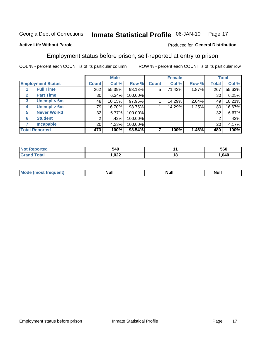#### Inmate Statistical Profile 06-JAN-10 Page 17

#### **Active Life Without Parole**

#### Produced for General Distribution

### Employment status before prison, self-reported at entry to prison

COL % - percent each COUNT is of its particular column

|                                  |         | <b>Male</b> |         |              | <b>Female</b> |       |       | <b>Total</b> |
|----------------------------------|---------|-------------|---------|--------------|---------------|-------|-------|--------------|
| <b>Employment Status</b>         | Count l | Col %       | Row %   | <b>Count</b> | Col %         | Row % | Total | Col %        |
| <b>Full Time</b>                 | 262     | 55.39%      | 98.13%  | 5            | 71.43%        | 1.87% | 267   | 55.63%       |
| <b>Part Time</b><br>$\mathbf{2}$ | 30      | 6.34%       | 100.00% |              |               |       | 30    | 6.25%        |
| Unempl $<$ 6m<br>$\mathbf{3}$    | 48      | 10.15%      | 97.96%  |              | 14.29%        | 2.04% | 49    | 10.21%       |
| Unempl $> 6m$<br>4               | 79      | 16.70%      | 98.75%  |              | 14.29%        | 1.25% | 80    | 16.67%       |
| <b>Never Workd</b><br>5          | 32      | 6.77%       | 100.00% |              |               |       | 32    | 6.67%        |
| <b>Student</b><br>6              | ⌒       | .42%        | 100.00% |              |               |       | 2     | .42%         |
| <b>Incapable</b>                 | 20      | 4.23%       | 100.00% |              |               |       | 20    | 4.17%        |
| <b>Total Reported</b>            | 473     | 100%        | 98.54%  |              | 100%          | 1.46% | 480   | 100%         |

| тес.                   | 549<br>- -   |    | 560    |
|------------------------|--------------|----|--------|
| $f \wedge f \wedge f'$ | റാറ<br>1,UZZ | 16 | 040, ا |

| M. | --<br>Null<br><u></u> | . .<br>NUIL | ------ |
|----|-----------------------|-------------|--------|
|    |                       |             |        |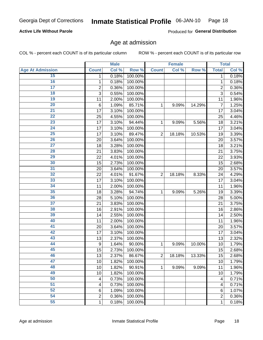#### Inmate Statistical Profile 06-JAN-10 Page 18

#### **Active Life Without Parole**

Produced for General Distribution

### Age at admission

COL % - percent each COUNT is of its particular column

|                         |                  | <b>Male</b> |         |                | <b>Female</b> |        |                | <b>Total</b> |
|-------------------------|------------------|-------------|---------|----------------|---------------|--------|----------------|--------------|
| <b>Age At Admission</b> | <b>Count</b>     | Col %       | Row %   | <b>Count</b>   | Col %         | Row %  | <b>Total</b>   | Col %        |
| 15                      | 1                | 0.18%       | 100.00% |                |               |        | 1              | 0.18%        |
| 16                      | 1                | 0.18%       | 100.00% |                |               |        | $\mathbf{1}$   | 0.18%        |
| $\overline{17}$         | $\overline{c}$   | 0.36%       | 100.00% |                |               |        | $\overline{2}$ | 0.36%        |
| 18                      | 3                | 0.55%       | 100.00% |                |               |        | 3              | 0.54%        |
| 19                      | 11               | 2.00%       | 100.00% |                |               |        | 11             | 1.96%        |
| $\overline{20}$         | 6                | 1.09%       | 85.71%  | 1              | 9.09%         | 14.29% | $\overline{7}$ | 1.25%        |
| 21                      | 17               | 3.10%       | 100.00% |                |               |        | 17             | 3.04%        |
| $\overline{22}$         | 25               | 4.55%       | 100.00% |                |               |        | 25             | 4.46%        |
| $\overline{23}$         | 17               | 3.10%       | 94.44%  | 1              | 9.09%         | 5.56%  | 18             | 3.21%        |
| 24                      | 17               | 3.10%       | 100.00% |                |               |        | 17             | 3.04%        |
| $\overline{25}$         | 17               | 3.10%       | 89.47%  | $\overline{2}$ | 18.18%        | 10.53% | 19             | 3.39%        |
| 26                      | 20               | 3.64%       | 100.00% |                |               |        | 20             | 3.57%        |
| $\overline{27}$         | 18               | 3.28%       | 100.00% |                |               |        | 18             | 3.21%        |
| 28                      | 21               | 3.83%       | 100.00% |                |               |        | 21             | 3.75%        |
| 29                      | 22               | 4.01%       | 100.00% |                |               |        | 22             | 3.93%        |
| 30                      | 15               | 2.73%       | 100.00% |                |               |        | 15             | 2.68%        |
| 31                      | 20               | 3.64%       | 100.00% |                |               |        | 20             | 3.57%        |
| 32                      | 22               | 4.01%       | 91.67%  | $\overline{2}$ | 18.18%        | 8.33%  | 24             | 4.29%        |
| 33                      | 17               | 3.10%       | 100.00% |                |               |        | 17             | 3.04%        |
| 34                      | 11               | 2.00%       | 100.00% |                |               |        | 11             | 1.96%        |
| 35                      | 18               | 3.28%       | 94.74%  | $\mathbf{1}$   | 9.09%         | 5.26%  | 19             | 3.39%        |
| 36                      | 28               | 5.10%       | 100.00% |                |               |        | 28             | 5.00%        |
| 37                      | 21               | 3.83%       | 100.00% |                |               |        | 21             | 3.75%        |
| 38                      | 16               | 2.91%       | 100.00% |                |               |        | 16             | 2.86%        |
| 39                      | 14               | 2.55%       | 100.00% |                |               |        | 14             | 2.50%        |
| 40                      | 11               | 2.00%       | 100.00% |                |               |        | 11             | 1.96%        |
| 41                      | 20               | 3.64%       | 100.00% |                |               |        | 20             | 3.57%        |
| 42                      | 17               | 3.10%       | 100.00% |                |               |        | 17             | 3.04%        |
| 43                      | 13               | 2.37%       | 100.00% |                |               |        | 13             | 2.32%        |
| 44                      | $\boldsymbol{9}$ | 1.64%       | 90.00%  | 1              | 9.09%         | 10.00% | 10             | 1.79%        |
| 45                      | 15               | 2.73%       | 100.00% |                |               |        | 15             | 2.68%        |
| 46                      | 13               | 2.37%       | 86.67%  | $\overline{2}$ | 18.18%        | 13.33% | 15             | 2.68%        |
| 47                      | 10               | 1.82%       | 100.00% |                |               |        | 10             | 1.79%        |
| 48                      | 10               | 1.82%       | 90.91%  | $\mathbf{1}$   | 9.09%         | 9.09%  | 11             | 1.96%        |
| 49                      | 10               | 1.82%       | 100.00% |                |               |        | 10             | 1.79%        |
| 50                      | 4                | 0.73%       | 100.00% |                |               |        | 4              | 0.71%        |
| $\overline{51}$         | 4                | 0.73%       | 100.00% |                |               |        | 4              | 0.71%        |
| 52                      | 6                | 1.09%       | 100.00% |                |               |        | 6              | 1.07%        |
| 54                      | 2                | 0.36%       | 100.00% |                |               |        | 2              | 0.36%        |
| 55                      | $\mathbf{1}$     | 0.18%       | 100.00% |                |               |        | $\mathbf{1}$   | 0.18%        |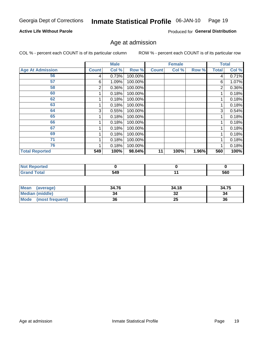#### Inmate Statistical Profile 06-JAN-10 Page 19

#### **Active Life Without Parole**

Produced for General Distribution

### Age at admission

COL % - percent each COUNT is of its particular column

|                         |              | <b>Male</b> |         |              | <b>Female</b> |       |              | <b>Total</b> |
|-------------------------|--------------|-------------|---------|--------------|---------------|-------|--------------|--------------|
| <b>Age At Admission</b> | <b>Count</b> | Col %       | Row %   | <b>Count</b> | Col %         | Row % | <b>Total</b> | Col %        |
| 56                      | 4            | 0.73%       | 100.00% |              |               |       | 4            | 0.71%        |
| 57                      | 6            | 1.09%       | 100.00% |              |               |       | 6            | 1.07%        |
| 58                      | 2            | 0.36%       | 100.00% |              |               |       | 2            | 0.36%        |
| 60                      |              | 0.18%       | 100.00% |              |               |       |              | 0.18%        |
| 62                      |              | 0.18%       | 100.00% |              |               |       |              | 0.18%        |
| 63                      |              | 0.18%       | 100.00% |              |               |       |              | 0.18%        |
| 64                      | 3            | 0.55%       | 100.00% |              |               |       | 3            | 0.54%        |
| 65                      |              | 0.18%       | 100.00% |              |               |       |              | 0.18%        |
| 66                      |              | 0.18%       | 100.00% |              |               |       |              | 0.18%        |
| 67                      |              | 0.18%       | 100.00% |              |               |       |              | 0.18%        |
| 69                      |              | 0.18%       | 100.00% |              |               |       |              | 0.18%        |
| 71                      |              | 0.18%       | 100.00% |              |               |       |              | 0.18%        |
| 76                      |              | 0.18%       | 100.00% |              |               |       |              | 0.18%        |
| <b>Total Reported</b>   | 549          | 100%        | 98.04%  | 11           | 100%          | 1.96% | 560          | 100%         |

| <b>Reported</b>        |     |     |
|------------------------|-----|-----|
| <b>c</b> otal<br>Grand | 549 | 560 |

| <b>Mean</b><br>(average) | 34.76 | 34.18 | 34.75 |
|--------------------------|-------|-------|-------|
| <b>Median (middle)</b>   |       | 32    | 34    |
| Mode<br>(most frequent)  | 36    | 25    | 36    |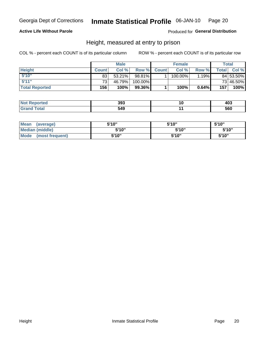#### Inmate Statistical Profile 06-JAN-10 Page 20

#### **Active Life Without Parole**

Produced for General Distribution

### Height, measured at entry to prison

COL % - percent each COUNT is of its particular column

|                       |                 | <b>Male</b> |         |              | <b>Female</b> |        |              | <b>Total</b> |
|-----------------------|-----------------|-------------|---------|--------------|---------------|--------|--------------|--------------|
| <b>Height</b>         | <b>Count</b>    | Col%        | Row %   | <b>Count</b> | Col %         | Row %I | <b>Total</b> | Col %        |
| 5'10''                | 83              | 53.21%      | 98.81%  |              | 100.00%       | 1.19%  |              | 84 53.50%    |
| 5'11''                | 73 <sub>1</sub> | 46.79%      | 100.00% |              |               |        |              | 73 46.50%    |
| <b>Total Reported</b> | 156             | 100%        | 99.36%  |              | 100%          | 0.64%  | 157          | 100%         |

| <b>Not</b><br>rreo<br>eno | 393 | 403 |
|---------------------------|-----|-----|
| Total<br><b>Grano</b>     | 540 | 560 |

| <b>Mean</b><br>(average)       | 5'10"  | 5'10" | 5'10"  |
|--------------------------------|--------|-------|--------|
| <b>Median (middle)</b>         | 5'10'' | 5'10" | 5'10'' |
| <b>Mode</b><br>(most frequent) | 5'10"  | 5'10" | 5'10"  |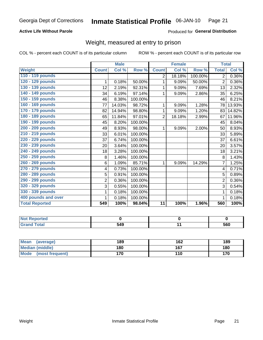#### Inmate Statistical Profile 06-JAN-10 Page 21

#### **Active Life Without Parole**

#### Produced for General Distribution

### Weight, measured at entry to prison

COL % - percent each COUNT is of its particular column

|                       |                | <b>Male</b> |         |                 | <b>Female</b> |         | <b>Total</b>   |        |
|-----------------------|----------------|-------------|---------|-----------------|---------------|---------|----------------|--------|
| <b>Weight</b>         | <b>Count</b>   | Col %       | Row %   | <b>Count</b>    | Col %         | Row %   | <b>Total</b>   | Col %  |
| 110 - 119 pounds      |                |             |         | 2               | 18.18%        | 100.00% | $\overline{2}$ | 0.36%  |
| 120 - 129 pounds      | 1              | 0.18%       | 50.00%  | 1               | 9.09%         | 50.00%  | $\overline{2}$ | 0.36%  |
| 130 - 139 pounds      | 12             | 2.19%       | 92.31%  | 1               | 9.09%         | 7.69%   | 13             | 2.32%  |
| 140 - 149 pounds      | 34             | 6.19%       | 97.14%  | 1               | 9.09%         | 2.86%   | 35             | 6.25%  |
| 150 - 159 pounds      | 46             | 8.38%       | 100.00% |                 |               |         | 46             | 8.21%  |
| 160 - 169 pounds      | 77             | 14.03%      | 98.72%  | 1               | 9.09%         | 1.28%   | 78             | 13.93% |
| 170 - 179 pounds      | 82             | 14.94%      | 98.80%  | 1               | 9.09%         | 1.20%   | 83             | 14.82% |
| 180 - 189 pounds      | 65             | 11.84%      | 97.01%  | $\overline{2}$  | 18.18%        | 2.99%   | 67             | 11.96% |
| 190 - 199 pounds      | 45             | 8.20%       | 100.00% |                 |               |         | 45             | 8.04%  |
| 200 - 209 pounds      | 49             | 8.93%       | 98.00%  | 1               | 9.09%         | 2.00%   | 50             | 8.93%  |
| 210 - 219 pounds      | 33             | 6.01%       | 100.00% |                 |               |         | 33             | 5.89%  |
| 220 - 229 pounds      | 37             | 6.74%       | 100.00% |                 |               |         | 37             | 6.61%  |
| 230 - 239 pounds      | 20             | 3.64%       | 100.00% |                 |               |         | 20             | 3.57%  |
| 240 - 249 pounds      | 18             | 3.28%       | 100.00% |                 |               |         | 18             | 3.21%  |
| 250 - 259 pounds      | 8              | 1.46%       | 100.00% |                 |               |         | 8              | 1.43%  |
| 260 - 269 pounds      | 6              | 1.09%       | 85.71%  | 1               | 9.09%         | 14.29%  | $\overline{7}$ | 1.25%  |
| 270 - 279 pounds      | 4              | 0.73%       | 100.00% |                 |               |         | 4              | 0.71%  |
| 280 - 289 pounds      | 5              | 0.91%       | 100.00% |                 |               |         | 5              | 0.89%  |
| 290 - 299 pounds      | $\overline{2}$ | 0.36%       | 100.00% |                 |               |         | $\overline{2}$ | 0.36%  |
| 320 - 329 pounds      | 3              | 0.55%       | 100.00% |                 |               |         | 3              | 0.54%  |
| 330 - 339 pounds      | 1              | 0.18%       | 100.00% |                 |               |         | 1              | 0.18%  |
| 400 pounds and over   | 1              | 0.18%       | 100.00% |                 |               |         | 1              | 0.18%  |
| <b>Total Reported</b> | 549            | 100%        | 98.04%  | $\overline{11}$ | 100%          | 1.96%   | 560            | 100%   |

| orted        |     |     |
|--------------|-----|-----|
| <b>cotal</b> | 549 | 560 |

| Mean<br>(average)              | 189 | 162 | 189 |
|--------------------------------|-----|-----|-----|
| <b>Median (middle)</b>         | 180 | 167 | 180 |
| <b>Mode</b><br>(most frequent) | 170 | 110 | 170 |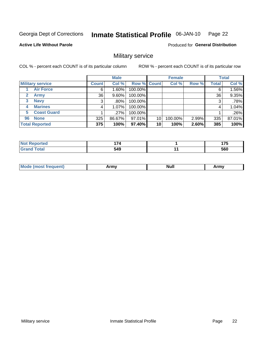#### Inmate Statistical Profile 06-JAN-10 Page 22

#### **Active Life Without Parole**

Produced for General Distribution

### Military service

COL % - percent each COUNT is of its particular column

|                             |              | <b>Male</b> |             |    | <b>Female</b> |       |              | <b>Total</b> |
|-----------------------------|--------------|-------------|-------------|----|---------------|-------|--------------|--------------|
| <b>Military service</b>     | <b>Count</b> | Col %       | Row % Count |    | Col %         | Row % | <b>Total</b> | Col %        |
| <b>Air Force</b>            | 6            | $1.60\%$    | 100.00%     |    |               |       | 6            | 1.56%        |
| $\mathbf{2}$<br><b>Army</b> | 36           | $9.60\%$    | 100.00%     |    |               |       | 36           | 9.35%        |
| <b>Navy</b><br>3            | 3            | .80%        | 100.00%     |    |               |       | 3            | .78%         |
| <b>Marines</b><br>4         | 4            | $1.07\%$    | 100.00%     |    |               |       | 4            | 1.04%        |
| <b>Coast Guard</b><br>5     |              | .27%        | 100.00%     |    |               |       |              | .26%         |
| <b>None</b><br>96           | 325          | 86.67%      | 97.01%      | 10 | 100.00%       | 2.99% | 335          | 87.01%       |
| <b>Total Reported</b>       | 375          | 100%        | 97.40%      | 10 | 100%          | 2.60% | 385          | 100%         |

| วrteo<br>'N ( | --- | $\rightarrow$ |
|---------------|-----|---------------|
| <b>otal</b>   | 549 | 560           |

|  | Mode<br>and the second state of the second<br>lenti<br>. | Army | <b>Null</b> | <b>Army</b> |
|--|----------------------------------------------------------|------|-------------|-------------|
|--|----------------------------------------------------------|------|-------------|-------------|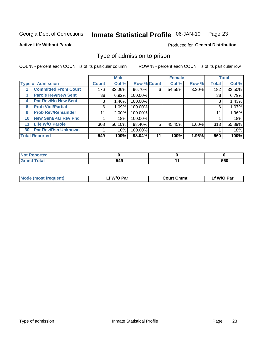#### Inmate Statistical Profile 06-JAN-10 Page 23

**Active Life Without Parole** 

Produced for General Distribution

### Type of admission to prison

COL % - percent each COUNT is of its particular column

|    |                             |              | <b>Male</b> |                    |    | <b>Female</b> |          |              | <b>Total</b> |
|----|-----------------------------|--------------|-------------|--------------------|----|---------------|----------|--------------|--------------|
|    | <b>Type of Admission</b>    | <b>Count</b> | Col %       | <b>Row % Count</b> |    | Col %         | Row %    | <b>Total</b> | Col %        |
|    | <b>Committed From Court</b> | 176          | $32.06\%$   | 96.70%             | 6  | 54.55%        | $3.30\%$ | 182          | 32.50%       |
| 3  | <b>Parole Rev/New Sent</b>  | 38           | 6.92%       | 100.00%            |    |               |          | 38           | 6.79%        |
| 4  | <b>Par Rev/No New Sent</b>  | 8            | 1.46%       | 100.00%            |    |               |          | 8            | 1.43%        |
| 6  | <b>Prob Viol/Partial</b>    | 6            | 1.09%       | 100.00%            |    |               |          | 6            | 1.07%        |
| 9  | <b>Prob Rev/Remainder</b>   | 11           | $2.00\%$    | 100.00%            |    |               |          | 11           | 1.96%        |
| 10 | <b>New Sent/Par Rev Pnd</b> |              | .18%        | 100.00%            |    |               |          |              | .18%         |
| 11 | <b>Life W/O Parole</b>      | 308          | 56.10%      | 98.40%             | 5  | 45.45%        | 1.60%    | 313          | 55.89%       |
| 30 | <b>Par Rev/Rsn Unknown</b>  |              | .18%        | 100.00%            |    |               |          |              | .18%         |
|    | <b>Total Reported</b>       | 549          | 100%        | 98.04%             | 11 | 100%          | 1.96%    | 560          | 100%         |

| rted         |              |     |
|--------------|--------------|-----|
| <b>Total</b> | - 10<br>34 S | 560 |

| <b>Mode (most frequent)</b> | f W/O Par | <b>Court Cmmt</b> | f W/O Par |
|-----------------------------|-----------|-------------------|-----------|
|                             |           |                   |           |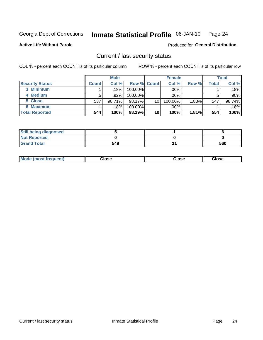#### Inmate Statistical Profile 06-JAN-10 Page 24

**Active Life Without Parole** 

Produced for General Distribution

### Current / last security status

COL % - percent each COUNT is of its particular column

|                        |              | <b>Male</b> |                    |    | <b>Female</b> |       |       | <b>Total</b> |
|------------------------|--------------|-------------|--------------------|----|---------------|-------|-------|--------------|
| <b>Security Status</b> | <b>Count</b> | Col%        | <b>Row % Count</b> |    | Col %         | Row % | Total | Col %        |
| 3 Minimum              |              | .18%        | 100.00%            |    | .00%          |       |       | $.18\%$      |
| 4 Medium               |              | .92%        | $100.00\%$         |    | $.00\%$       |       |       | $.90\%$      |
| 5 Close                | 537          | 98.71%      | 98.17%             | 10 | 100.00%       | 1.83% | 547   | 98.74%       |
| 6 Maximum              |              | .18%        | 100.00%            |    | .00%          |       |       | .18%         |
| <b>Total Reported</b>  | 544          | 100%        | 98.19%             | 10 | 100%          | 1.81% | 554   | 100%         |

| <b>Still being diagnosed</b> |     |     |
|------------------------------|-----|-----|
| <b>Not Reported</b>          |     |     |
| <b>Grand Total</b>           | 549 | 560 |

| <b>Mode</b><br>Close<br>: (most frequent)<br>oseت<br>Close<br>- - - -<br>- - - -<br>- - - - |
|---------------------------------------------------------------------------------------------|
|---------------------------------------------------------------------------------------------|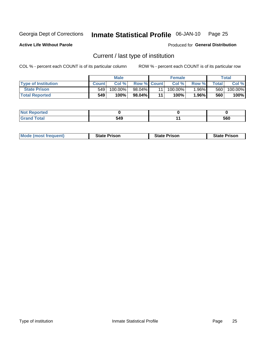#### Inmate Statistical Profile 06-JAN-10 Page 25

**Active Life Without Parole** 

Produced for General Distribution

### Current / last type of institution

COL % - percent each COUNT is of its particular column

|                            |              | <b>Male</b> |                    |    | <b>Female</b> |          |       | Total   |
|----------------------------|--------------|-------------|--------------------|----|---------------|----------|-------|---------|
| <b>Type of Institution</b> | <b>Count</b> | Col %       | <b>Row % Count</b> |    | Col %         | Row %    | Total | Col %   |
| <b>State Prison</b>        | 549          | $100.00\%$  | 98.04%             | 11 | $100.00\%$    | 1.96%    | 560   | 100.00% |
| <b>Total Reported</b>      | 549          | 100%        | 98.04%             | 11 | 100%          | $1.96\%$ | 560   | 100%    |

| τeα<br>. |       |     |
|----------|-------|-----|
| .        | $-40$ | 560 |

| <b>Mode (most frequent)</b> | <b>State Prison</b> | <b>State Prison</b> | <b>State Prison</b> |
|-----------------------------|---------------------|---------------------|---------------------|
|                             |                     |                     |                     |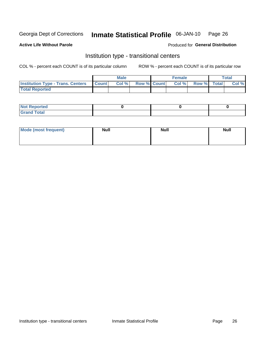#### Inmate Statistical Profile 06-JAN-10 Page 26

**Active Life Without Parole** 

Produced for General Distribution

### Institution type - transitional centers

COL % - percent each COUNT is of its particular column

|                                                | <b>Male</b> |                    | <b>Female</b> |             | <b>Total</b> |
|------------------------------------------------|-------------|--------------------|---------------|-------------|--------------|
| <b>Institution Type - Trans. Centers Count</b> | Col %       | <b>Row % Count</b> | Col %         | Row % Total | Col %        |
| <b>Total Reported</b>                          |             |                    |               |             |              |

| <b>Reported</b><br><b>NOT</b>  |  |  |
|--------------------------------|--|--|
| $n+n$<br>C <sub>r</sub><br>--- |  |  |

| Mode (most frequent) | <b>Null</b> | <b>Null</b> | <b>Null</b> |
|----------------------|-------------|-------------|-------------|
|                      |             |             |             |
|                      |             |             |             |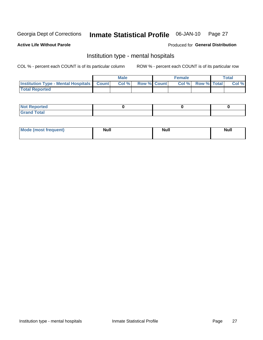#### **Inmate Statistical Profile** 06-JAN-10 Page 27

#### **Active Life Without Parole**

#### Produced for General Distribution

### Institution type - mental hospitals

COL % - percent each COUNT is of its particular column

|                                                  | Male  |                    | <b>Female</b> |                   | <b>Total</b> |
|--------------------------------------------------|-------|--------------------|---------------|-------------------|--------------|
| <b>Institution Type - Mental Hospitals Count</b> | Col % | <b>Row % Count</b> |               | Col % Row % Total | Col %        |
| <b>Total Reported</b>                            |       |                    |               |                   |              |

| <b>Not Reported</b>   |  |  |
|-----------------------|--|--|
| <b>Total</b><br>_____ |  |  |

| Mode.<br>frequent) | <b>Nul</b><br>_____ | <b>Null</b> | <b>Null</b> |
|--------------------|---------------------|-------------|-------------|
|                    |                     |             |             |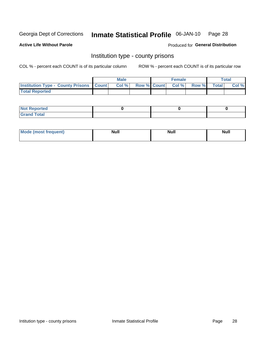#### Inmate Statistical Profile 06-JAN-10 Page 28

**Active Life Without Parole** 

Produced for General Distribution

### Institution type - county prisons

COL % - percent each COUNT is of its particular column

|                                                    | <b>Male</b> |       |                          | <b>Female</b> |  |             | <b>Total</b> |       |
|----------------------------------------------------|-------------|-------|--------------------------|---------------|--|-------------|--------------|-------|
| <b>Institution Type - County Prisons   Count  </b> |             | Col % | <b>Row % Count Col %</b> |               |  | Row % Total |              | Col % |
| <b>Total Reported</b>                              |             |       |                          |               |  |             |              |       |

| <b>Not Reported</b>   |  |  |
|-----------------------|--|--|
| <b>Total</b><br>Granc |  |  |

| <b>Mode</b>      | <b>Null</b> | <b>Null</b> | <b>Null</b> |
|------------------|-------------|-------------|-------------|
| (most freauent). |             |             |             |
|                  |             |             |             |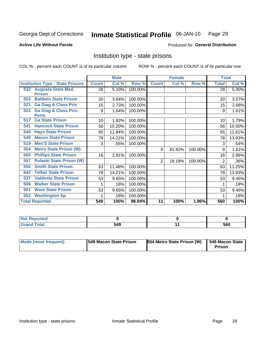#### Inmate Statistical Profile 06-JAN-10 Page 29

**Active Life Without Parole** 

Produced for General Distribution

### Institution type - state prisons

COL % - percent each COUNT is of its particular column

|                                         |              | <b>Male</b> |         |                | <b>Female</b> |         | <b>Total</b> |        |
|-----------------------------------------|--------------|-------------|---------|----------------|---------------|---------|--------------|--------|
| <b>Institution Type - State Prisons</b> | <b>Count</b> | Col %       | Row %   | <b>Count</b>   | Col %         | Row %   | <b>Total</b> | Col %  |
| 532 Augusta State Med.                  | 28           | 5.10%       | 100.00% |                |               |         | 28           | 5.00%  |
| <b>Prison</b>                           |              |             |         |                |               |         |              |        |
| <b>Baldwin State Prison</b><br>553      | 20           | 3.64%       | 100.00% |                |               |         | 20           | 3.57%  |
| <b>Ga Diag &amp; Class Pris</b><br>521  | 15           | 2.73%       | 100.00% |                |               |         | 15           | 2.68%  |
| <b>Ga Diag &amp; Class Pris-</b><br>522 | 9            | 1.64%       | 100.00% |                |               |         | 9            | 1.61%  |
| <b>Perm</b>                             |              |             |         |                |               |         |              |        |
| <b>Ga State Prison</b><br>517           | 10           | 1.82%       | 100.00% |                |               |         | 10           | 1.79%  |
| <b>Hancock State Prison</b><br>541      | 56           | 10.20%      | 100.00% |                |               |         | 56           | 10.00% |
| <b>Hays State Prison</b><br>540         | 65           | 11.84%      | 100.00% |                |               |         | 65           | 11.61% |
| <b>Macon State Prison</b><br>549        | 78           | 14.21%      | 100.00% |                |               |         | 78           | 13.93% |
| <b>Men'S State Prison</b><br>519        | 3            | .55%        | 100.00% |                |               |         | 3            | .54%   |
| <b>Metro State Prison (W)</b><br>554    |              |             |         | 9              | 81.82%        | 100.00% | 9            | 1.61%  |
| <b>Phillips State Prison</b><br>505     | 16           | 2.91%       | 100.00% |                |               |         | 16           | 2.86%  |
| <b>Pulaski State Prison (W)</b><br>557  |              |             |         | $\overline{2}$ | 18.18%        | 100.00% | 2            | .36%   |
| <b>Smith State Prison</b><br>550        | 63           | 11.48%      | 100.00% |                |               |         | 63           | 11.25% |
| <b>Telfair State Prison</b><br>542      | 78           | 14.21%      | 100.00% |                |               |         | 78           | 13.93% |
| <b>Valdosta State Prison</b><br>537     | 53           | 9.65%       | 100.00% |                |               |         | 53           | 9.46%  |
| <b>Walker State Prison</b><br>506       |              | .18%        | 100.00% |                |               |         |              | .18%   |
| <b>Ware State Prison</b><br>501         | 53           | 9.65%       | 100.00% |                |               |         | 53           | 9.46%  |
| <b>Washington Sp</b><br>552             |              | .18%        | 100.00% |                |               |         |              | .18%   |
| <b>Total Reported</b>                   | 549          | 100%        | 98.04%  | 11             | 100%          | 1.96%   | 560          | 100%   |

| NO1<br>onre            |     |     |
|------------------------|-----|-----|
| <b>Total</b><br>______ | 549 | 560 |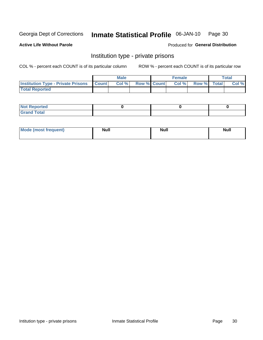#### Inmate Statistical Profile 06-JAN-10 Page 30

**Active Life Without Parole** 

Produced for General Distribution

### Institution type - private prisons

COL % - percent each COUNT is of its particular column

|                                                 | <b>Male</b> |                    | <b>Female</b> |             | Total |
|-------------------------------------------------|-------------|--------------------|---------------|-------------|-------|
| <b>Institution Type - Private Prisons Count</b> | Col%        | <b>Row % Count</b> | Col %         | Row % Total | Col % |
| <b>Total Reported</b>                           |             |                    |               |             |       |

| <b>Reported</b><br><b>NOT</b><br>$\sim$            |  |  |
|----------------------------------------------------|--|--|
| $f$ $f \circ f \circ f$<br>$C = 1$<br><b>TULAI</b> |  |  |

| <b>Mode (most frequent)</b> | <b>Null</b> | Null | <b>Null</b> |
|-----------------------------|-------------|------|-------------|
|                             |             |      |             |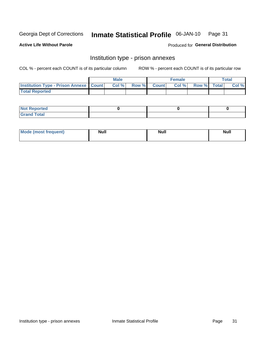#### Inmate Statistical Profile 06-JAN-10 Page 31

**Active Life Without Parole** 

Produced for General Distribution

### Institution type - prison annexes

COL % - percent each COUNT is of its particular column

|                                                   | <b>Male</b> |              |       | <b>Female</b> |                    | <b>Total</b> |
|---------------------------------------------------|-------------|--------------|-------|---------------|--------------------|--------------|
| <b>Institution Type - Prison Annexe   Count  </b> | Col %       | <b>Row %</b> | Count | Col %         | <b>Row %</b> Total | Col %        |
| <b>Total Reported</b>                             |             |              |       |               |                    |              |

| <b>Reported</b><br>I NOT                      |  |  |
|-----------------------------------------------|--|--|
| <b>Total</b><br>Carar<br>$\sim$ . When $\sim$ |  |  |

| $^{\prime}$ Mo <sub>t</sub><br>frequent)<br>⊥(mos* | <b>Null</b> | Noll<br><b>vull</b> | <b>Null</b> |
|----------------------------------------------------|-------------|---------------------|-------------|
|                                                    |             |                     |             |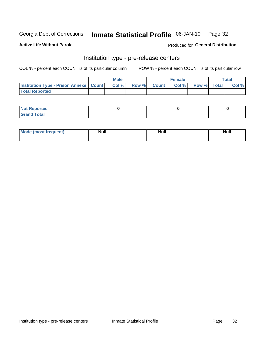#### Inmate Statistical Profile 06-JAN-10 Page 32

**Active Life Without Parole** 

Produced for General Distribution

### Institution type - pre-release centers

COL % - percent each COUNT is of its particular column

|                                                   | <b>Male</b> |              |       | <b>Female</b> |                    | <b>Total</b> |
|---------------------------------------------------|-------------|--------------|-------|---------------|--------------------|--------------|
| <b>Institution Type - Prison Annexe   Count  </b> | Col %       | <b>Row %</b> | Count | Col %         | <b>Row %</b> Total | Col %        |
| <b>Total Reported</b>                             |             |              |       |               |                    |              |

| <b>Reported</b><br>I NOT |  |  |
|--------------------------|--|--|
| <b>Total</b><br>$C$ ren  |  |  |

| $^{\prime}$ Mo <sub>t</sub><br>frequent)<br>⊥(mos* | <b>Null</b> | Noll<br><b>vull</b> | <b>Null</b> |
|----------------------------------------------------|-------------|---------------------|-------------|
|                                                    |             |                     |             |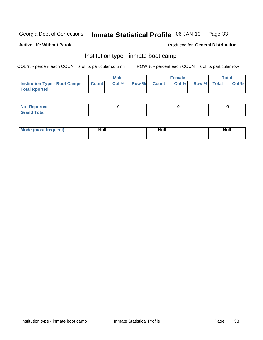#### Inmate Statistical Profile 06-JAN-10 Page 33

#### **Active Life Without Parole**

#### Produced for General Distribution

### Institution type - inmate boot camp

COL % - percent each COUNT is of its particular column

|                                      |              | <b>Male</b> |               |              | <b>Female</b> |             | <b>Total</b> |
|--------------------------------------|--------------|-------------|---------------|--------------|---------------|-------------|--------------|
| <b>Institution Type - Boot Camps</b> | <b>Count</b> | Col %       | <b>Row %I</b> | <b>Count</b> | Col %         | Row % Total | Col %        |
| <b>Total Rported</b>                 |              |             |               |              |               |             |              |

| <b>Not Reported</b>            |  |  |
|--------------------------------|--|--|
| <b>Total</b><br>C <sub>r</sub> |  |  |

| <b>I Mode (most frequent)</b> | <b>Null</b> | <b>Null</b> | <b>Null</b> |
|-------------------------------|-------------|-------------|-------------|
|                               |             |             |             |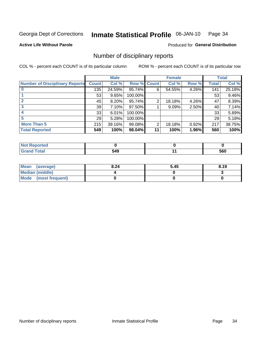#### Inmate Statistical Profile 06-JAN-10 Page 34

**Active Life Without Parole** 

Produced for General Distribution

### Number of disciplinary reports

COL % - percent each COUNT is of its particular column

|                                       |              | <b>Male</b> |                    |    | <b>Female</b> |       |              | <b>Total</b> |
|---------------------------------------|--------------|-------------|--------------------|----|---------------|-------|--------------|--------------|
| <b>Number of Disciplinary Reports</b> | <b>Count</b> | Col %       | <b>Row % Count</b> |    | Col %         | Row % | <b>Total</b> | Col %        |
|                                       | 135          | 24.59%      | 95.74%             | 6  | 54.55%        | 4.26% | 141          | 25.18%       |
|                                       | 53           | 9.65%       | 100.00%            |    |               |       | 53           | 9.46%        |
|                                       | 45           | 8.20%       | 95.74%             | 2  | 18.18%        | 4.26% | 47           | 8.39%        |
| 3                                     | 39           | 7.10%       | 97.50%             |    | 9.09%         | 2.50% | 40           | 7.14%        |
|                                       | 33           | 6.01%       | 100.00%            |    |               |       | 33           | 5.89%        |
| 5                                     | 29           | 5.28%       | 100.00%            |    |               |       | 29           | 5.18%        |
| <b>More Than 5</b>                    | 215          | 39.16%      | 99.08%             | 2  | 18.18%        | 0.92% | 217          | 38.75%       |
| <b>Total Reported</b>                 | 549          | 100%        | 98.04%             | 11 | 100%          | 1.96% | 560          | 100%         |

| N<br>тес |     |     |
|----------|-----|-----|
| Total    | 549 | 560 |

| Mean (average)       | 8.24 | 5.45 | 8.19 |
|----------------------|------|------|------|
| Median (middle)      |      |      |      |
| Mode (most frequent) |      |      |      |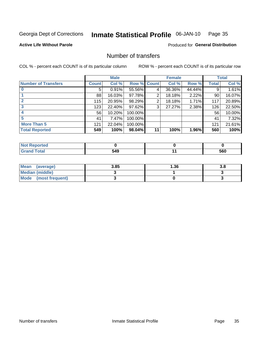#### Inmate Statistical Profile 06-JAN-10 Page 35

**Active Life Without Parole** 

Produced for General Distribution

### Number of transfers

COL % - percent each COUNT is of its particular column

|                            |              | <b>Male</b> |                    |    | <b>Female</b> |        |              | <b>Total</b> |
|----------------------------|--------------|-------------|--------------------|----|---------------|--------|--------------|--------------|
| <b>Number of Transfers</b> | <b>Count</b> | Col %       | <b>Row % Count</b> |    | Col %         | Row %  | <b>Total</b> | Col %        |
|                            | 5            | 0.91%       | 55.56%             | 4  | 36.36%        | 44.44% | 9            | 1.61%        |
|                            | 88           | 16.03%      | 97.78%             | 2  | 18.18%        | 2.22%  | 90           | 16.07%       |
| $\mathbf{2}$               | 115          | 20.95%      | 98.29%             | 2  | 18.18%        | 1.71%  | 117          | 20.89%       |
| 3                          | 123          | 22.40%      | 97.62%             | 3  | 27.27%        | 2.38%  | 126          | 22.50%       |
|                            | 56           | 10.20%      | 100.00%            |    |               |        | 56           | 10.00%       |
| 5                          | 41           | 7.47%       | 100.00%            |    |               |        | 41           | 7.32%        |
| <b>More Than 5</b>         | 121          | 22.04%      | 100.00%            |    |               |        | 121          | 21.61%       |
| <b>Total Reported</b>      | 549          | 100%        | 98.04%             | 11 | 100%          | 1.96%  | 560          | 100%         |

| N<br>тес |     |     |
|----------|-----|-----|
| Total    | 549 | 560 |

| Mean (average)       | 3.85 | I.36 |  |
|----------------------|------|------|--|
| Median (middle)      |      |      |  |
| Mode (most frequent) |      |      |  |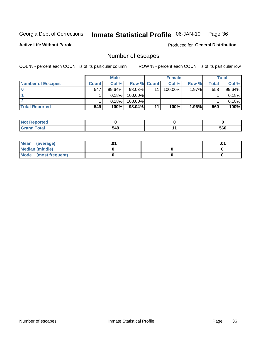#### Inmate Statistical Profile 06-JAN-10 Page 36

**Active Life Without Parole** 

Produced for General Distribution

### Number of escapes

COL % - percent each COUNT is of its particular column

|                          |         | <b>Male</b> |                    |    | <b>Female</b> |          |       | <b>Total</b> |
|--------------------------|---------|-------------|--------------------|----|---------------|----------|-------|--------------|
| <b>Number of Escapes</b> | Count l | Col %       | <b>Row % Count</b> |    | Col %         | Row %    | Total | Col %        |
|                          | 547     | $99.64\%$   | $98.03\%$          | 11 | $100.00\%$    | 1.97%    | 558   | 99.64%       |
|                          |         | 0.18%       | 100.00%            |    |               |          |       | 0.18%        |
|                          |         | 0.18%       | 100.00%            |    |               |          |       | 0.18%        |
| <b>Total Reported</b>    | 549     | 100%        | $98.04\%$          | 11 | 100%          | $1.96\%$ | 560   | 100%         |

| orted<br><b>NOT REPO</b> |     |     |
|--------------------------|-----|-----|
| <b>Fotal</b><br>Grand    | 549 | 560 |

| Mean (average)       |  | .01 |
|----------------------|--|-----|
| Median (middle)      |  |     |
| Mode (most frequent) |  |     |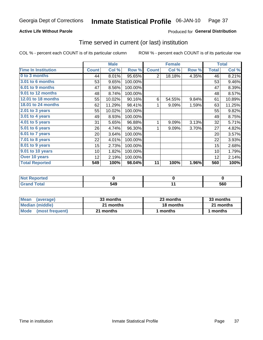## **Active Life Without Parole**

## Produced for General Distribution

## Time served in current (or last) institution

COL % - percent each COUNT is of its particular column

|                            |              | <b>Male</b> |         |                | <b>Female</b> |       |              | <b>Total</b> |
|----------------------------|--------------|-------------|---------|----------------|---------------|-------|--------------|--------------|
| <b>Time In Institution</b> | <b>Count</b> | Col %       | Row %   | <b>Count</b>   | Col %         | Row % | <b>Total</b> | Col %        |
| 0 to 3 months              | 44           | 8.01%       | 95.65%  | $\overline{2}$ | 18.18%        | 4.35% | 46           | 8.21%        |
| 3.01 to 6 months           | 53           | 9.65%       | 100.00% |                |               |       | 53           | 9.46%        |
| 6.01 to 9 months           | 47           | 8.56%       | 100.00% |                |               |       | 47           | 8.39%        |
| 9.01 to 12 months          | 48           | 8.74%       | 100.00% |                |               |       | 48           | 8.57%        |
| 12.01 to 18 months         | 55           | 10.02%      | 90.16%  | 6              | 54.55%        | 9.84% | 61           | 10.89%       |
| 18.01 to 24 months         | 62           | 11.29%      | 98.41%  |                | 9.09%         | 1.59% | 63           | 11.25%       |
| 2.01 to 3 years            | 55           | 10.02%      | 100.00% |                |               |       | 55           | 9.82%        |
| 3.01 to 4 years            | 49           | 8.93%       | 100.00% |                |               |       | 49           | 8.75%        |
| 4.01 to 5 years            | 31           | 5.65%       | 96.88%  | 1              | 9.09%         | 3.13% | 32           | 5.71%        |
| 5.01 to 6 years            | 26           | 4.74%       | 96.30%  | 1              | 9.09%         | 3.70% | 27           | 4.82%        |
| 6.01 to 7 years            | 20           | 3.64%       | 100.00% |                |               |       | 20           | 3.57%        |
| $7.01$ to 8 years          | 22           | 4.01%       | 100.00% |                |               |       | 22           | 3.93%        |
| 8.01 to 9 years            | 15           | 2.73%       | 100.00% |                |               |       | 15           | 2.68%        |
| 9.01 to 10 years           | 10           | 1.82%       | 100.00% |                |               |       | 10           | 1.79%        |
| Over 10 years              | 12           | 2.19%       | 100.00% |                |               |       | 12           | 2.14%        |
| <b>Total Reported</b>      | 549          | 100%        | 98.04%  | 11             | 100%          | 1.96% | 560          | 100%         |

| Reported<br><b>NOT</b> |     |     |
|------------------------|-----|-----|
| <i>i</i> otal          | 549 | 560 |

| <b>Mean</b><br>(average) | 33 months | 23 months | 33 months |
|--------------------------|-----------|-----------|-----------|
| Median (middle)          | 21 months | 18 months | 21 months |
| Mode (most frequent)     | 21 months | 1 months  | 1 months  |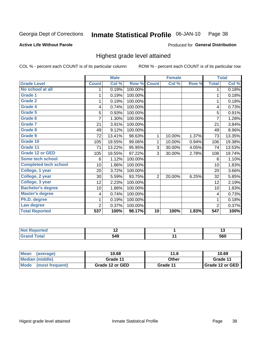#### Inmate Statistical Profile 06-JAN-10 Page 38

## **Active Life Without Parole**

### Produced for General Distribution

## Highest grade level attained

COL % - percent each COUNT is of its particular column

|                              |                | <b>Male</b> |         |                 | <b>Female</b> |       |                  | <b>Total</b> |
|------------------------------|----------------|-------------|---------|-----------------|---------------|-------|------------------|--------------|
| <b>Grade Level</b>           | <b>Count</b>   | Col %       | Row %   | <b>Count</b>    | Col %         | Row % | <b>Total</b>     | Col %        |
| No school at all             | 1              | 0.19%       | 100.00% |                 |               |       | 1                | 0.18%        |
| <b>Grade 1</b>               | 1              | 0.19%       | 100.00% |                 |               |       | $\mathbf{1}$     | 0.18%        |
| Grade 2                      | 1              | 0.19%       | 100.00% |                 |               |       | 1                | 0.18%        |
| <b>Grade 4</b>               | 4              | 0.74%       | 100.00% |                 |               |       | 4                | 0.73%        |
| Grade 5                      | 5              | 0.93%       | 100.00% |                 |               |       | 5                | 0.91%        |
| Grade 6                      | 7              | 1.30%       | 100.00% |                 |               |       | $\overline{7}$   | 1.28%        |
| <b>Grade 7</b>               | 21             | 3.91%       | 100.00% |                 |               |       | 21               | 3.84%        |
| <b>Grade 8</b>               | 49             | 9.12%       | 100.00% |                 |               |       | 49               | 8.96%        |
| <b>Grade 9</b>               | 72             | 13.41%      | 98.63%  | $\mathbf{1}$    | 10.00%        | 1.37% | 73               | 13.35%       |
| Grade 10                     | 105            | 19.55%      | 99.06%  | 1               | 10.00%        | 0.94% | 106              | 19.38%       |
| Grade 11                     | 71             | 13.22%      | 95.95%  | 3               | 30.00%        | 4.05% | 74               | 13.53%       |
| <b>Grade 12 or GED</b>       | 105            | 19.55%      | 97.22%  | 3               | 30.00%        | 2.78% | 108              | 19.74%       |
| <b>Some tech school</b>      | 6              | 1.12%       | 100.00% |                 |               |       | 6                | 1.10%        |
| <b>Completed tech school</b> | 10             | 1.86%       | 100.00% |                 |               |       | 10               | 1.83%        |
| College, 1 year              | 20             | 3.72%       | 100.00% |                 |               |       | 20               | 3.66%        |
| College, 2 year              | 30             | 5.59%       | 93.75%  | $\overline{2}$  | 20.00%        | 6.25% | 32               | 5.85%        |
| College, 3 year              | 12             | 2.23%       | 100.00% |                 |               |       | 12               | 2.19%        |
| <b>Bachelor's degree</b>     | 10             | 1.86%       | 100.00% |                 |               |       | 10               | 1.83%        |
| <b>Master's degree</b>       | 4              | 0.74%       | 100.00% |                 |               |       | 4                | 0.73%        |
| Ph.D. degree                 | 1              | 0.19%       | 100.00% |                 |               |       | 1                | 0.18%        |
| Law degree                   | $\overline{2}$ | 0.37%       | 100.00% |                 |               |       | $\overline{2}$   | 0.37%        |
| <b>Total Reported</b>        | 537            | 100%        | 98.17%  | $\overline{10}$ | 100%          | 1.83% | $\overline{547}$ | 100%         |

| neo<br>N | $\sim$                 | .,  |
|----------|------------------------|-----|
|          | 54 <sup>c</sup><br>, , | 560 |

| <b>Mean</b><br>(average)       | 10.68           | 11.6     | 10.69           |
|--------------------------------|-----------------|----------|-----------------|
| Median (middle)                | Grade 11        | Other    | Grade 11        |
| <b>Mode</b><br>(most frequent) | Grade 12 or GED | Grade 11 | Grade 12 or GED |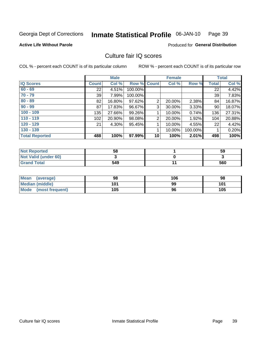#### Inmate Statistical Profile 06-JAN-10 Page 39

### **Active Life Without Parole**

Produced for General Distribution

## Culture fair IQ scores

COL % - percent each COUNT is of its particular column

|                       |              | <b>Male</b> |                    |                 | <b>Female</b> |         |              | <b>Total</b> |
|-----------------------|--------------|-------------|--------------------|-----------------|---------------|---------|--------------|--------------|
| <b>IQ Scores</b>      | <b>Count</b> | Col %       | <b>Row % Count</b> |                 | Col %         | Row %   | <b>Total</b> | Col %        |
| $60 - 69$             | 22           | 4.51%       | 100.00%            |                 |               |         | 22           | 4.42%        |
| $70 - 79$             | 39           | 7.99%       | 100.00%            |                 |               |         | 39           | 7.83%        |
| $80 - 89$             | 82           | 16.80%      | 97.62%             | $\overline{2}$  | 20.00%        | 2.38%   | 84           | 16.87%       |
| $90 - 99$             | 87           | 17.83%      | 96.67%             | 3               | 30.00%        | 3.33%   | 90           | 18.07%       |
| $100 - 109$           | 135          | 27.66%      | 99.26%             | 1               | 10.00%        | 0.74%   | 136          | 27.31%       |
| $110 - 119$           | 102          | 20.90%      | 98.08%             | $\overline{2}$  | 20.00%        | 1.92%   | 104          | 20.88%       |
| $120 - 129$           | 21           | 4.30%       | 95.45%             |                 | 10.00%        | 4.55%   | 22           | 4.42%        |
| $130 - 139$           |              |             |                    | 1               | 10.00%        | 100.00% |              | 0.20%        |
| <b>Total Reported</b> | 488          | 100%        | 97.99%             | 10 <sup>1</sup> | 100%          | 2.01%   | 498          | 100%         |

| <b>Not Reported</b>  | 58  | 59  |
|----------------------|-----|-----|
| Not Valid (under 60) |     |     |
| <b>Grand Total</b>   | 549 | 560 |

| Mean<br>(average)      | 98  | 106 | 98  |
|------------------------|-----|-----|-----|
| <b>Median (middle)</b> | 101 | 99  | 101 |
| Mode (most frequent)   | 105 | 96  | 105 |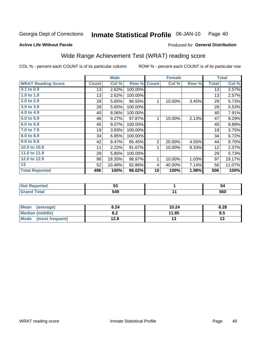#### Inmate Statistical Profile 06-JAN-10 Page 40

Produced for General Distribution

### **Active Life Without Parole**

# Wide Range Achievement Test (WRAT) reading score

COL % - percent each COUNT is of its particular column

|                           |              | <b>Male</b> |         |                | <b>Female</b> |       |              | <b>Total</b> |
|---------------------------|--------------|-------------|---------|----------------|---------------|-------|--------------|--------------|
| <b>WRAT Reading Score</b> | <b>Count</b> | Col %       | Row %   | <b>Count</b>   | Col %         | Row % | <b>Total</b> | Col %        |
| 0.1 to 0.9                | 13           | 2.62%       | 100.00% |                |               |       | 13           | 2.57%        |
| 1.0 to 1.9                | 13           | 2.62%       | 100.00% |                |               |       | 13           | 2.57%        |
| 2.0 to 2.9                | 28           | 5.65%       | 96.55%  | 1              | 10.00%        | 3.45% | 29           | 5.73%        |
| 3.0 to 3.9                | 28           | 5.65%       | 100.00% |                |               |       | 28           | 5.53%        |
| 4.0 to 4.9                | 40           | 8.06%       | 100.00% |                |               |       | 40           | 7.91%        |
| 5.0 to 5.9                | 46           | 9.27%       | 97.87%  | 1              | 10.00%        | 2.13% | 47           | 9.29%        |
| 6.0 to 6.9                | 45           | 9.07%       | 100.00% |                |               |       | 45           | 8.89%        |
| 7.0 to 7.9                | 19           | 3.83%       | 100.00% |                |               |       | 19           | 3.75%        |
| 8.0 to 8.9                | 34           | 6.85%       | 100.00% |                |               |       | 34           | 6.72%        |
| 9.0 to 9.9                | 42           | 8.47%       | 95.45%  | $\overline{2}$ | 20.00%        | 4.55% | 44           | 8.70%        |
| 10.0 to 10.9              | 11           | 2.22%       | 91.67%  | 1              | 10.00%        | 8.33% | 12           | 2.37%        |
| 11.0 to 11.9              | 29           | 5.85%       | 100.00% |                |               |       | 29           | 5.73%        |
| 12.0 to 12.9              | 96           | 19.35%      | 98.97%  | 1              | 10.00%        | 1.03% | 97           | 19.17%       |
| 13                        | 52           | 10.48%      | 92.86%  | 4              | 40.00%        | 7.14% | 56           | 11.07%       |
| <b>Total Reported</b>     | 496          | 100%        | 98.02%  | 10             | 100%          | 1.98% | 506          | 100%         |
|                           |              |             |         |                |               |       |              |              |

| <b>Not Reported</b> | Ju. | 54  |
|---------------------|-----|-----|
| <b>Grand Total</b>  | 549 | 560 |

| <b>Mean</b><br>(average) | 8.24       | 10.24 | 8.28 |
|--------------------------|------------|-------|------|
| Median (middle)          | n a<br>0.Z | 11.85 | 8.5  |
| Mode<br>(most frequent)  | 12.8       |       | ויי  |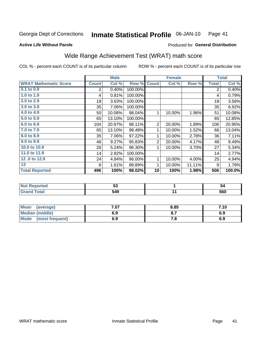#### Inmate Statistical Profile 06-JAN-10 Page 41

### **Active Life Without Parole**

## Produced for General Distribution

## Wide Range Achievement Test (WRAT) math score

COL % - percent each COUNT is of its particular column

|                              |                | <b>Male</b> |         |                | <b>Female</b> |        |                | <b>Total</b> |
|------------------------------|----------------|-------------|---------|----------------|---------------|--------|----------------|--------------|
| <b>WRAT Mathematic Score</b> | <b>Count</b>   | Col %       | Row %   | <b>Count</b>   | Col %         | Row %  | <b>Total</b>   | Col %        |
| 0.1 to 0.9                   | $\overline{2}$ | 0.40%       | 100.00% |                |               |        | $\overline{2}$ | 0.40%        |
| 1.0 to 1.9                   | 4              | 0.81%       | 100.00% |                |               |        | 4              | 0.79%        |
| 2.0 to 2.9                   | 18             | 3.63%       | 100.00% |                |               |        | 18             | 3.56%        |
| 3.0 to 3.9                   | 35             | 7.06%       | 100.00% |                |               |        | 35             | 6.92%        |
| 4.0 to 4.9                   | 50             | 10.08%      | 98.04%  | 1              | 10.00%        | 1.96%  | 51             | 10.08%       |
| 5.0 to 5.9                   | 65             | 13.10%      | 100.00% |                |               |        | 65             | 12.85%       |
| 6.0 to 6.9                   | 104            | 20.97%      | 98.11%  | $\overline{2}$ | 20.00%        | 1.89%  | 106            | 20.95%       |
| 7.0 to 7.9                   | 65             | 13.10%      | 98.48%  | 1              | 10.00%        | 1.52%  | 66             | 13.04%       |
| 8.0 to 8.9                   | 35             | 7.06%       | 97.22%  | 1              | 10.00%        | 2.78%  | 36             | 7.11%        |
| 9.0 to 9.9                   | 46             | 9.27%       | 95.83%  | $\overline{2}$ | 20.00%        | 4.17%  | 48             | 9.49%        |
| 10.0 to 10.9                 | 26             | 5.24%       | 96.30%  | 1              | 10.00%        | 3.70%  | 27             | 5.34%        |
| 11.0 to 11.9                 | 14             | 2.82%       | 100.00% |                |               |        | 14             | 2.77%        |
| 12.0 to 12.9                 | 24             | 4.84%       | 96.00%  | 1              | 10.00%        | 4.00%  | 25             | 4.94%        |
| 13                           | 8              | 1.61%       | 88.89%  | 1              | 10.00%        | 11.11% | 9              | 1.78%        |
| <b>Total Reported</b>        | 496            | 100%        | 98.02%  | 10             | 100%          | 1.98%  | 506            | 100.0%       |
|                              |                |             |         |                |               |        |                |              |
| $\overline{a}$               |                |             |         |                |               |        |                |              |

| <b>Not</b><br>Reported | JJ. | 54  |
|------------------------|-----|-----|
| iotal                  | 549 | 560 |

| Mean<br>(average)              | 7.07 | 8.85 | 7.10 |
|--------------------------------|------|------|------|
| Median (middle)                | 6.9  | υ.,  | 6.9  |
| <b>Mode</b><br>(most frequent) | 6.9  | 7.O  | 6.9  |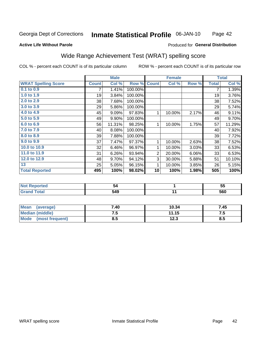#### Inmate Statistical Profile 06-JAN-10 Page 42

### **Active Life Without Parole**

## **Produced for General Distribution**

## Wide Range Achievement Test (WRAT) spelling score

COL % - percent each COUNT is of its particular column

|                                                                              |              | <b>Male</b> |         | <b>Female</b>  |        | <b>Total</b> |              |        |
|------------------------------------------------------------------------------|--------------|-------------|---------|----------------|--------|--------------|--------------|--------|
| <b>WRAT Spelling Score</b>                                                   | <b>Count</b> | Col %       | Row %   | <b>Count</b>   | Col %  | Row %        | <b>Total</b> | Col %  |
| $0.1$ to $0.9$                                                               | 7            | 1.41%       | 100.00% |                |        |              | 7            | 1.39%  |
| 1.0 to 1.9                                                                   | 19           | 3.84%       | 100.00% |                |        |              | 19           | 3.76%  |
| 2.0 to 2.9                                                                   | 38           | 7.68%       | 100.00% |                |        |              | 38           | 7.52%  |
| 3.0 to 3.9                                                                   | 29           | 5.86%       | 100.00% |                |        |              | 29           | 5.74%  |
| 4.0 to 4.9                                                                   | 45           | 9.09%       | 97.83%  | $\mathbf{1}$   | 10.00% | 2.17%        | 46           | 9.11%  |
| 5.0 to 5.9                                                                   | 49           | 9.90%       | 100.00% |                |        |              | 49           | 9.70%  |
| 6.0 to 6.9                                                                   | 56           | 11.31%      | 98.25%  | 1              | 10.00% | 1.75%        | 57           | 11.29% |
| 7.0 to 7.9                                                                   | 40           | 8.08%       | 100.00% |                |        |              | 40           | 7.92%  |
| 8.0 to 8.9                                                                   | 39           | 7.88%       | 100.00% |                |        |              | 39           | 7.72%  |
| 9.0 to 9.9                                                                   | 37           | 7.47%       | 97.37%  | 1              | 10.00% | 2.63%        | 38           | 7.52%  |
| 10.0 to 10.9                                                                 | 32           | 6.46%       | 96.97%  | 1              | 10.00% | 3.03%        | 33           | 6.53%  |
| 11.0 to 11.9                                                                 | 31           | 6.26%       | 93.94%  | $\overline{a}$ | 20.00% | 6.06%        | 33           | 6.53%  |
| 12.0 to 12.9                                                                 | 48           | 9.70%       | 94.12%  | 3              | 30.00% | 5.88%        | 51           | 10.10% |
| 13                                                                           | 25           | 5.05%       | 96.15%  | 1              | 10.00% | 3.85%        | 26           | 5.15%  |
| <b>Total Reported</b>                                                        | 495          | 100%        | 98.02%  | 10             | 100%   | 1.98%        | 505          | 100%   |
|                                                                              |              |             |         |                |        |              |              |        |
| $\overline{a}$ and $\overline{a}$ and $\overline{a}$<br><b>Service</b> State |              | - -         |         |                |        |              |              | --     |

| $\bullet$ , and $\bullet$ . | 34  | $ -$<br>w |
|-----------------------------|-----|-----------|
| $rac{1}{2}$<br>$- \cdot$    | 549 | 50 N      |

| <b>Mean</b><br>(average)       | 7.40 | 10.34        | 7.45 |
|--------------------------------|------|--------------|------|
| Median (middle)                | ن. ا | 11.15        | ن. ا |
| <b>Mode</b><br>(most frequent) | 8.5  | 122<br>1 Z.J | Ծ.J  |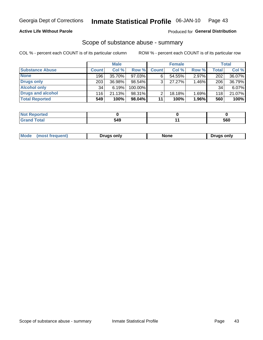## **Active Life Without Parole**

## Produced for General Distribution

## Scope of substance abuse - summary

COL % - percent each COUNT is of its particular column

|                        |              | <b>Male</b> |           |              | <b>Female</b> |          |                  | <b>Total</b> |
|------------------------|--------------|-------------|-----------|--------------|---------------|----------|------------------|--------------|
| <b>Substance Abuse</b> | <b>Count</b> | Col %       | Row %     | <b>Count</b> | Col %         | Row %    | <b>Total</b>     | Col %        |
| <b>None</b>            | 196          | 35.70%      | 97.03%    | 6            | 54.55%        | 2.97%    | 202 <sub>1</sub> | 36.07%       |
| <b>Drugs only</b>      | 203          | 36.98%      | $98.54\%$ |              | 27.27%        | $1.46\%$ | 206              | 36.79%       |
| <b>Alcohol only</b>    | 34           | 6.19%       | 100.00%   |              |               |          | 34               | $6.07\%$     |
| Drugs and alcohol      | 116          | 21.13%      | 98.31%    |              | 18.18%        | 1.69%    | 118              | 21.07%       |
| <b>Total Reported</b>  | 549          | 100%        | $98.04\%$ | 11           | 100%          | $1.96\%$ | 560              | 100%         |

| <b>Reported</b><br><b>NOT</b> |     |     |
|-------------------------------|-----|-----|
| <b>Total</b>                  | 549 | 560 |

| <b>Moa</b><br>only<br>…∿∩r<br>uas only<br>∂n <i>י</i> |
|-------------------------------------------------------|
|-------------------------------------------------------|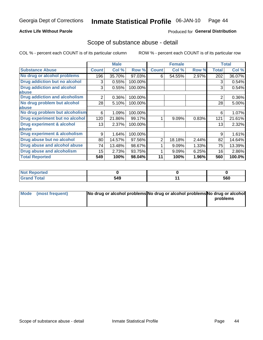## **Active Life Without Parole**

## Produced for General Distribution

## Scope of substance abuse - detail

COL % - percent each COUNT is of its particular column

|                                      |                | <b>Male</b> |         |              | <b>Female</b> |       |                | <b>Total</b> |
|--------------------------------------|----------------|-------------|---------|--------------|---------------|-------|----------------|--------------|
| <b>Substance Abuse</b>               | <b>Count</b>   | Col %       | Row %   | <b>Count</b> | Col %         | Row % | <b>Total</b>   | Col %        |
| No drug or alcohol problems          | 196            | 35.70%      | 97.03%  | 6            | 54.55%        | 2.97% | 202            | 36.07%       |
| Drug addiction but no alcohol        | 3              | 0.55%       | 100.00% |              |               |       | 3              | 0.54%        |
| <b>Drug addiction and alcohol</b>    | 3              | 0.55%       | 100.00% |              |               |       | 3              | 0.54%        |
| abuse                                |                |             |         |              |               |       |                |              |
| <b>Drug addiction and alcoholism</b> | $\overline{2}$ | 0.36%       | 100.00% |              |               |       | $\overline{2}$ | 0.36%        |
| No drug problem but alcohol          | 28             | 5.10%       | 100.00% |              |               |       | 28             | 5.00%        |
| abuse                                |                |             |         |              |               |       |                |              |
| No drug problem but alcoholism       | 6              | 1.09%       | 100.00% |              |               |       | 6              | 1.07%        |
| Drug experiment but no alcohol       | 120            | 21.86%      | 99.17%  |              | 9.09%         | 0.83% | 121            | 21.61%       |
| <b>Drug experiment &amp; alcohol</b> | 13             | 2.37%       | 100.00% |              |               |       | 13             | 2.32%        |
| abuse                                |                |             |         |              |               |       |                |              |
| Drug experiment & alcoholism         | 9              | 1.64%       | 100.00% |              |               |       | 9              | 1.61%        |
| Drug abuse but no alcohol            | 80             | 14.57%      | 97.56%  | 2            | 18.18%        | 2.44% | 82             | 14.64%       |
| Drug abuse and alcohol abuse         | 74             | 13.48%      | 98.67%  |              | 9.09%         | 1.33% | 75             | 13.39%       |
| <b>Drug abuse and alcoholism</b>     | 15             | 2.73%       | 93.75%  |              | 9.09%         | 6.25% | 16             | 2.86%        |
| <b>Total Reported</b>                | 549            | 100%        | 98.04%  | 11           | 100%          | 1.96% | 560            | 100.0%       |

| <b>Not Reported</b> |     |     |
|---------------------|-----|-----|
| <b>Total</b>        | 549 | 560 |

| Mode (most frequent) | No drug or alcohol problems No drug or alcohol problems No drug or alcohol |          |
|----------------------|----------------------------------------------------------------------------|----------|
|                      |                                                                            | problems |
|                      |                                                                            |          |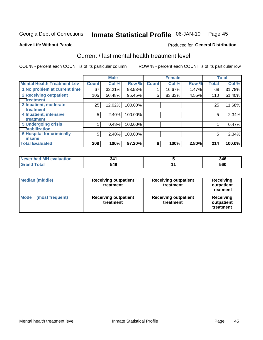#### Inmate Statistical Profile 06-JAN-10 Page 45

### **Active Life Without Parole**

## **Produced for General Distribution**

## Current / last mental health treatment level

COL % - percent each COUNT is of its particular column

|                                    |              | <b>Male</b> |         |              | <b>Female</b> |       |              | <b>Total</b> |
|------------------------------------|--------------|-------------|---------|--------------|---------------|-------|--------------|--------------|
| <b>Mental Health Treatment Lev</b> | <b>Count</b> | Col %       | Row %   | <b>Count</b> | Col %         | Row % | <b>Total</b> | Col %        |
| 1 No problem at current time       | 67           | 32.21%      | 98.53%  |              | 16.67%        | 1.47% | 68           | 31.78%       |
| 2 Receiving outpatient             | 105          | 50.48%      | 95.45%  | 5            | 83.33%        | 4.55% | 110          | 51.40%       |
| <b>Treatment</b>                   |              |             |         |              |               |       |              |              |
| 3 Inpatient, moderate              | 25           | 12.02%      | 100.00% |              |               |       | 25           | 11.68%       |
| <b>Treatment</b>                   |              |             |         |              |               |       |              |              |
| 4 Inpatient, intensive             | 5            | 2.40%       | 100.00% |              |               |       | 5            | 2.34%        |
| <b>Treatment</b>                   |              |             |         |              |               |       |              |              |
| <b>5 Undergoing crisis</b>         |              | 0.48%       | 100.00% |              |               |       |              | 0.47%        |
| <b>stabilization</b>               |              |             |         |              |               |       |              |              |
| <b>6 Hospital for criminally</b>   | 5            | 2.40%       | 100.00% |              |               |       | 5            | 2.34%        |
| <b>Tinsane</b>                     |              |             |         |              |               |       |              |              |
| <b>Total Evaluated</b>             | 208          | 100%        | 97.20%  | 6            | 100%          | 2.80% | 214          | 100.0%       |

| Never had MH evaluation | 341 | 346 |
|-------------------------|-----|-----|
| Total                   | 549 | 560 |

| <b>Median (middle)</b>         | <b>Receiving outpatient</b><br>treatment | <b>Receiving outpatient</b><br>treatment | <b>Receiving</b><br>outpatient<br>treatment |
|--------------------------------|------------------------------------------|------------------------------------------|---------------------------------------------|
| <b>Mode</b><br>(most frequent) | <b>Receiving outpatient</b><br>treatment | <b>Receiving outpatient</b><br>treatment | Receiving<br>outpatient<br>treatment        |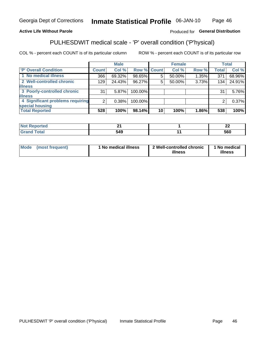#### Inmate Statistical Profile 06-JAN-10 Page 46

## **Active Life Without Parole**

## Produced for General Distribution

## PULHESDWIT medical scale - 'P' overall condition ('P'hysical)

COL % - percent each COUNT is of its particular column

|                                  |         | <b>Male</b> |         |                    | <b>Female</b> |       |              | <b>Total</b> |
|----------------------------------|---------|-------------|---------|--------------------|---------------|-------|--------------|--------------|
| 'P' Overall Condition            | Count l | Col %       |         | <b>Row % Count</b> | Col %         | Row % | <b>Total</b> | Col %        |
| 1 No medical illness             | 366     | 69.32%      | 98.65%  | 5.                 | 50.00%        | 1.35% | 371          | 68.96%       |
| 2 Well-controlled chronic        | 129     | 24.43%      | 96.27%  | 5                  | 50.00%        | 3.73% | 134          | 24.91%       |
| <b>illness</b>                   |         |             |         |                    |               |       |              |              |
| 3 Poorly-controlled chronic      | 31      | $5.87\%$    | 100.00% |                    |               |       | 31           | 5.76%        |
| <b>illness</b>                   |         |             |         |                    |               |       |              |              |
| 4 Significant problems requiring | 2       | 0.38%       | 100.00% |                    |               |       | 2            | 0.37%        |
| special housing                  |         |             |         |                    |               |       |              |              |
| <b>Total Reported</b>            | 528     | 100%        | 98.14%  | 10 <sup>1</sup>    | 100%          | 1.86% | 538          | 100%         |

| leo   | л.         | . .<br><u>__</u> |
|-------|------------|------------------|
| _____ | 740<br>343 | 560              |

| <b>Mode</b> | (most frequent) | 1 No medical illness | 2 Well-controlled chronic<br>illness | 1 No medical<br>illness |
|-------------|-----------------|----------------------|--------------------------------------|-------------------------|
|-------------|-----------------|----------------------|--------------------------------------|-------------------------|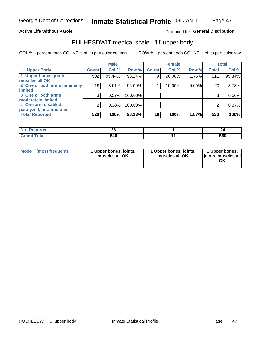### **Active Life Without Parole**

## Produced for General Distribution

## PULHESDWIT medical scale - 'U' upper body

COL % - percent each COUNT is of its particular column

|                              |               | <b>Male</b> |           |              | <b>Female</b> |       |              | <b>Total</b> |
|------------------------------|---------------|-------------|-----------|--------------|---------------|-------|--------------|--------------|
| <b>U' Upper Body</b>         | <b>Count!</b> | Col %       | Row %     | <b>Count</b> | Col %         | Row % | <b>Total</b> | Col %        |
| 1 Upper bones, joints,       | 502           | 95.44%      | 98.24%    | 9            | 90.00%        | 1.76% | 511          | 95.34%       |
| muscles all OK               |               |             |           |              |               |       |              |              |
| 2 One or both arms minimally | 19            | 3.61%       | 95.00%    |              | 10.00%        | 5.00% | 20           | 3.73%        |
| limited                      |               |             |           |              |               |       |              |              |
| 3 One or both arms           | 3             | 0.57%       | 100.00%   |              |               |       | 3            | 0.56%        |
| <b>moderately limited</b>    |               |             |           |              |               |       |              |              |
| 4 One arm disabled,          | 2             | 0.38%       | 100.00%   |              |               |       | 2            | 0.37%        |
| paralyzed, or amputated      |               |             |           |              |               |       |              |              |
| <b>Total Reported</b>        | 526           | 100%        | $98.13\%$ | 10           | 100%          | 1.87% | 536          | 100%         |

| <b>Not Reported</b><br>. <b>.</b> |     |     |
|-----------------------------------|-----|-----|
| <b>Total</b>                      | 549 | 560 |

| Mode | (most frequent) | 1 Upper bones, joints,<br>muscles all OK | 1 Upper bones, joints,<br>muscles all OK | 1 Upper bones,<br>ljoints, muscles all<br>ΟK |
|------|-----------------|------------------------------------------|------------------------------------------|----------------------------------------------|
|------|-----------------|------------------------------------------|------------------------------------------|----------------------------------------------|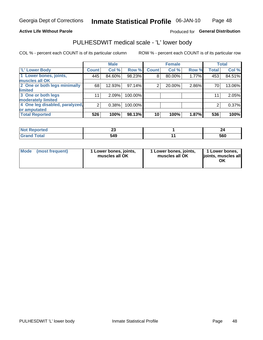## **Active Life Without Parole**

## Produced for General Distribution

## PULHESDWIT medical scale - 'L' lower body

COL % - percent each COUNT is of its particular column

|                                |              | <b>Male</b> |         |              | <b>Female</b> |       |              | <b>Total</b> |
|--------------------------------|--------------|-------------|---------|--------------|---------------|-------|--------------|--------------|
| 'L' Lower Body                 | <b>Count</b> | Col %       | Row %   | <b>Count</b> | Col %         | Row % | <b>Total</b> | Col %        |
| 1 Lower bones, joints,         | 445          | 84.60%      | 98.23%  | 8            | 80.00%        | 1.77% | 453          | 84.51%       |
| muscles all OK                 |              |             |         |              |               |       |              |              |
| 2 One or both legs minimally   | 68           | 12.93%      | 97.14%  | 2            | 20.00%        | 2.86% | 70           | 13.06%       |
| limited                        |              |             |         |              |               |       |              |              |
| 3 One or both legs             | 11           | 2.09%       | 100.00% |              |               |       | 11           | 2.05%        |
| moderately limited             |              |             |         |              |               |       |              |              |
| 4 One leg disabled, paralyzed, | 2            | 0.38%       | 100.00% |              |               |       | 2            | 0.37%        |
| or amputated                   |              |             |         |              |               |       |              |              |
| <b>Total Reported</b>          | 526          | 100%        | 98.13%  | 10           | 100%          | 1.87% | 536          | 100%         |

| NOT<br>prteu | ~~  |     |
|--------------|-----|-----|
|              | 549 | 560 |

| Mode | (most frequent) | 1 Lower bones, joints,<br>muscles all OK | 1 Lower bones, joints,<br>muscles all OK | 1 Lower bones,<br>ljoints, muscles all<br>ΟK |
|------|-----------------|------------------------------------------|------------------------------------------|----------------------------------------------|
|------|-----------------|------------------------------------------|------------------------------------------|----------------------------------------------|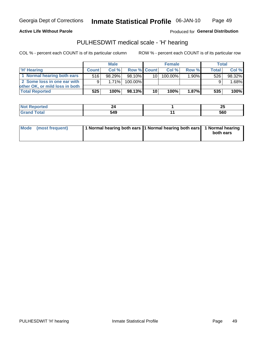### **Active Life Without Parole**

Produced for General Distribution

## PULHESDWIT medical scale - 'H' hearing

COL % - percent each COUNT is of its particular column

|                                |              | <b>Male</b> |                    |                 | <b>Female</b> |       | Total        |        |
|--------------------------------|--------------|-------------|--------------------|-----------------|---------------|-------|--------------|--------|
| <b>H' Hearing</b>              | <b>Count</b> | Col%        | <b>Row % Count</b> |                 | Col%          | Row % | <b>Total</b> | Col %  |
| 1 Normal hearing both ears     | 516          | 98.29%      | 98.10%             | 10 I            | $100.00\%$    | 1.90% | 526          | 98.32% |
| 2 Some loss in one ear with    | 9            | 1.71%       | 100.00%            |                 |               |       |              | 1.68%  |
| other OK, or mild loss in both |              |             |                    |                 |               |       |              |        |
| <b>Total Reported</b>          | 525          | 100%        | 98.13%             | 10 <sup>1</sup> | 100%          | 1.87% | 535          | 100%   |

| m<br>. |                     | ሳር<br>ΔJ |
|--------|---------------------|----------|
|        | 549<br>JTJ.<br>$ -$ | 560      |

| Mode (most frequent) | 1 Normal hearing both ears 1 Normal hearing both ears 1 Normal hearing | both ears |
|----------------------|------------------------------------------------------------------------|-----------|
|                      |                                                                        |           |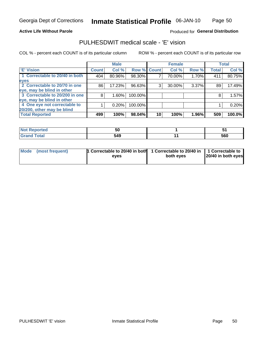Page 50

### **Active Life Without Parole**

## Produced for General Distribution

## PULHESDWIT medical scale - 'E' vision

COL % - percent each COUNT is of its particular column

|                                |              | <b>Male</b> |             |    | <b>Female</b> |       |              | <b>Total</b> |
|--------------------------------|--------------|-------------|-------------|----|---------------|-------|--------------|--------------|
| <b>E' Vision</b>               | <b>Count</b> | Col %       | Row % Count |    | Col %         | Row % | <b>Total</b> | Col %        |
| 1 Correctable to 20/40 in both | 404          | 80.96%      | 98.30%      |    | 70.00%        | 1.70% | 411          | 80.75%       |
| eyes                           |              |             |             |    |               |       |              |              |
| 2 Correctable to 20/70 in one  | 86           | 17.23%      | 96.63%      | 3  | 30.00%        | 3.37% | 89           | 17.49%       |
| eye, may be blind in other     |              |             |             |    |               |       |              |              |
| 3 Correctable to 20/200 in one | 8            | $1.60\%$    | 100.00%     |    |               |       | 8            | 1.57%        |
| eye, may be blind in other     |              |             |             |    |               |       |              |              |
| 4 One eye not correctable to   |              | 0.20%       | 100.00%     |    |               |       |              | 0.20%        |
| 20/200, other may be blind     |              |             |             |    |               |       |              |              |
| <b>Total Reported</b>          | 499          | 100%        | 98.04%      | 10 | 100%          | 1.96% | 509          | 100.0%       |

| тео.                  | ວບ  | $\cdot$ |
|-----------------------|-----|---------|
| <b>Total</b><br>_____ | 549 | 560     |

| Mode (most frequent) | 1 Correctable to 20/40 in both<br>eves | 1 Correctable to 20/40 in   1 Correctable to<br>both eyes | 20/40 in both eyes |
|----------------------|----------------------------------------|-----------------------------------------------------------|--------------------|
|                      |                                        |                                                           |                    |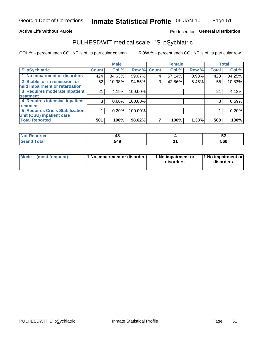## **Active Life Without Parole**

## Produced for General Distribution

## PULHESDWIT medical scale - 'S' pSychiatric

COL % - percent each COUNT is of its particular column

|                                        |              | <b>Male</b> |         |             | <b>Female</b> |       |              | <b>Total</b> |
|----------------------------------------|--------------|-------------|---------|-------------|---------------|-------|--------------|--------------|
| 'S' pSychiatric                        | <b>Count</b> | Col %       |         | Row % Count | Col %         | Row % | <b>Total</b> | Col %        |
| 1 No impairment or disorders           | 424          | 84.63%      | 99.07%  |             | 57.14%        | 0.93% | 428          | 84.25%       |
| 2 Stable, or in remission, or          | 52           | 10.38%      | 94.55%  | 3           | 42.86%        | 5.45% | 55           | 10.83%       |
| mild impairment or retardation         |              |             |         |             |               |       |              |              |
| 3 Requires moderate inpatient          | 21           | 4.19%       | 100.00% |             |               |       | 21           | 4.13%        |
| treatment                              |              |             |         |             |               |       |              |              |
| 4 Requires intensive inpatient         | 3            | $0.60\%$    | 100.00% |             |               |       | 3            | 0.59%        |
| <b>treatment</b>                       |              |             |         |             |               |       |              |              |
| <b>5 Requires Crisis Stabilization</b> |              | 0.20%       | 100.00% |             |               |       |              | 0.20%        |
| Unit (CSU) inpatient care              |              |             |         |             |               |       |              |              |
| <b>Total Reported</b>                  | 501          | 100%        | 98.62%  |             | 100%          | 1.38% | 508          | 100%         |

| <b>Not Reported</b> | יי<br>т. | IJΔ |
|---------------------|----------|-----|
| <b>Total</b>        | 549      | 560 |

| Mode | (most frequent) | 1 No impairment or disorders | 1 No impairment or<br>disorders | 11 No impairment or<br>disorders |
|------|-----------------|------------------------------|---------------------------------|----------------------------------|
|------|-----------------|------------------------------|---------------------------------|----------------------------------|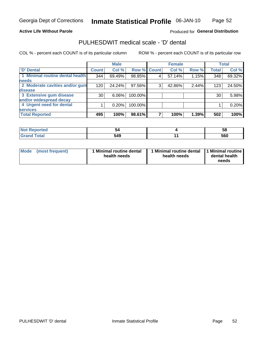### **Active Life Without Parole**

## Produced for General Distribution

## PULHESDWIT medical scale - 'D' dental

COL % - percent each COUNT is of its particular column

|                                 |              | <b>Male</b> |             |   | <b>Female</b> |       |              | <b>Total</b> |
|---------------------------------|--------------|-------------|-------------|---|---------------|-------|--------------|--------------|
| 'D' Dental                      | <b>Count</b> | Col %       | Row % Count |   | Col %         | Row % | <b>Total</b> | Col %        |
| 1 Minimal routine dental health | 344          | 69.49%      | 98.85%      |   | 57.14%        | 1.15% | 348          | 69.32%       |
| <b>needs</b>                    |              |             |             |   |               |       |              |              |
| 2 Moderate cavities and/or gum  | 120          | 24.24%      | 97.56%      | 3 | 42.86%        | 2.44% | 123          | 24.50%       |
| disease                         |              |             |             |   |               |       |              |              |
| 3 Extensive gum disease         | 30           | $6.06\%$    | 100.00%     |   |               |       | 30           | 5.98%        |
| and/or widespread decay         |              |             |             |   |               |       |              |              |
| 4 Urgent need for dental        |              | 0.20%       | 100.00%     |   |               |       |              | 0.20%        |
| <b>services</b>                 |              |             |             |   |               |       |              |              |
| <b>Total Reported</b>           | 495          | 100%        | 98.61%      |   | 100%          | 1.39% | 502          | 100%         |

| rtea              |              | ာင  |
|-------------------|--------------|-----|
| $f \sim f \sim f$ | 54C<br>, , , | 560 |

| <b>Mode</b> | (most frequent) | <b>Minimal routine dental</b><br>health needs | 1 Minimal routine dental<br>health needs | <b>11 Minimal routine I</b><br>dental health<br>needs |
|-------------|-----------------|-----------------------------------------------|------------------------------------------|-------------------------------------------------------|
|-------------|-----------------|-----------------------------------------------|------------------------------------------|-------------------------------------------------------|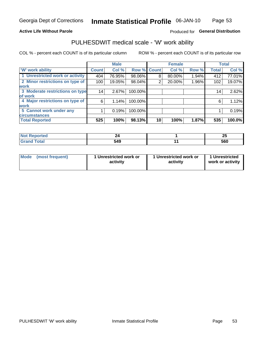## **Active Life Without Parole**

## Produced for General Distribution

## PULHESDWIT medical scale - 'W' work ability

COL % - percent each COUNT is of its particular column

|                                 |              | <b>Male</b> |         |             | <b>Female</b> |       |              | <b>Total</b> |
|---------------------------------|--------------|-------------|---------|-------------|---------------|-------|--------------|--------------|
| <b>W' work ability</b>          | <b>Count</b> | Col %       |         | Row % Count | Col %         | Row % | <b>Total</b> | Col %        |
| 1 Unrestricted work or activity | 404          | 76.95%      | 98.06%  | 8           | 80.00%        | 1.94% | 412          | 77.01%       |
| 2 Minor restrictions on type of | 100          | 19.05%      | 98.04%  | 2           | 20.00%        | 1.96% | 102          | 19.07%       |
| <b>work</b>                     |              |             |         |             |               |       |              |              |
| 3 Moderate restrictions on type | 14           | 2.67%       | 100.00% |             |               |       | 14           | 2.62%        |
| lof work                        |              |             |         |             |               |       |              |              |
| 4 Major restrictions on type of | 6            | 1.14%       | 100.00% |             |               |       | 6            | 1.12%        |
| <b>work</b>                     |              |             |         |             |               |       |              |              |
| 5 Cannot work under any         |              | 0.19%       | 100.00% |             |               |       |              | 0.19%        |
| <b>circumstances</b>            |              |             |         |             |               |       |              |              |
| <b>Total Reported</b>           | 525          | 100%        | 98.13%  | 10          | 100%          | 1.87% | 535          | 100.0%       |

| <b>Not Reported</b> |     | ኅር<br>-- |
|---------------------|-----|----------|
| <b>Grand Total</b>  | 549 | 560      |

| <b>Mode</b>     | 1 Unrestricted work or | 1 Unrestricted work or | 1 Unrestricted   |
|-----------------|------------------------|------------------------|------------------|
| (most frequent) | activity               | activity               | work or activity |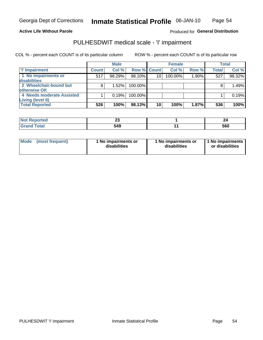### **Active Life Without Parole**

## Produced for General Distribution

## PULHESDWIT medical scale - 'I' impairment

COL % - percent each COUNT is of its particular column ROW % - percent each COUNT is of its particular row

|                                     |              | <b>Male</b> |             |                 | <b>Female</b> |       |              | <b>Total</b> |
|-------------------------------------|--------------|-------------|-------------|-----------------|---------------|-------|--------------|--------------|
| T' Impairment                       | <b>Count</b> | Col %       | Row % Count |                 | Col %         | Row % | <b>Total</b> | Col %        |
| 1 No impairments or<br>disabilities | 517          | 98.29%      | 98.10%      | 10 <sup>1</sup> | 100.00%       | 1.90% | 527          | 98.32%       |
| 2 Wheelchair-bound but              | 8            | 1.52%       | 100.00%     |                 |               |       |              | 1.49%        |
| otherwise OK                        |              |             |             |                 |               |       |              |              |
| 4 Needs moderate Assisted           |              | 0.19%       | 100.00%     |                 |               |       |              | 0.19%        |
| Living (level II)                   |              |             |             |                 |               |       |              |              |
| <b>Total Reported</b>               | 526          | 100%        | 98.13%      | 10              | 100%          | 1.87% | 536          | 100%         |

| <b>I</b> NOT Reported | $\overline{\phantom{a}}$ | --  |
|-----------------------|--------------------------|-----|
| $\cdots$              | <u>r</u>                 |     |
| <b>Total</b>          | 549                      | 560 |

| <b>Mode</b>     | 1 No impairments or | 1 No impairments or | 1 No impairments |
|-----------------|---------------------|---------------------|------------------|
| (most frequent) | disabilities        | disabilities        | or disabilities  |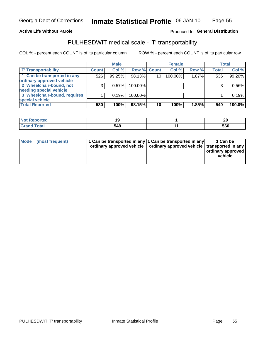### **Active Life Without Parole**

### Produced fo General Distribution

## PULHESDWIT medical scale - 'T' transportability

COL % - percent each COUNT is of its particular column

|                              |              | <b>Male</b> |             |    | <b>Female</b> |       |              | <b>Total</b> |
|------------------------------|--------------|-------------|-------------|----|---------------|-------|--------------|--------------|
| <b>T' Transportability</b>   | <b>Count</b> | Col %       | Row % Count |    | Col %         | Row % | <b>Total</b> | Col %        |
| 1 Can be transported in any  | 526          | 99.25%      | 98.13%      | 10 | 100.00%       | 1.87% | 536          | 99.26%       |
| ordinary approved vehicle    |              |             |             |    |               |       |              |              |
| 2 Wheelchair-bound, not      |              | 0.57%       | 100.00%     |    |               |       |              | 0.56%        |
| needing special vehicle      |              |             |             |    |               |       |              |              |
| 3 Wheelchair-bound, requires |              | 0.19%       | 100.00%     |    |               |       |              | 0.19%        |
| special vehicle              |              |             |             |    |               |       |              |              |
| <b>Total Reported</b>        | 530          | 100%        | 98.15%      | 10 | 100%          | 1.85% | 540          | 100.0%       |

| Reported    | ı.  | 20  |
|-------------|-----|-----|
| <b>otal</b> | 549 | 560 |

| Mode (most frequent) | 1 Can be transported in any 1 Can be transported in any | ordinary approved vehicle   ordinary approved vehicle   transported in any | 1 Can be<br>ordinary approved<br>vehicle |
|----------------------|---------------------------------------------------------|----------------------------------------------------------------------------|------------------------------------------|
|                      |                                                         |                                                                            |                                          |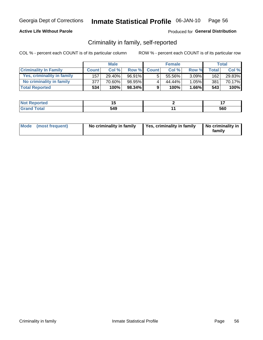## **Active Life Without Parole**

## Produced for General Distribution

## Criminality in family, self-reported

COL % - percent each COUNT is of its particular column

|                              |              | <b>Male</b> |           |              | <b>Female</b> |          |       | Total  |
|------------------------------|--------------|-------------|-----------|--------------|---------------|----------|-------|--------|
| <b>Criminality In Family</b> | <b>Count</b> | Col%        | Row %     | <b>Count</b> | Col %         | Row %    | Total | Col %  |
| Yes, criminality in family   | 157          | 29.40%      | 96.91%    | 5            | 55.56%        | $3.09\%$ | 162   | 29.83% |
| No criminality in family     | 377          | 70.60%      | 98.95%    | 4            | 44.44%        | $1.05\%$ | 381   | 70.17% |
| <b>Total Reported</b>        | 534          | 100%        | $98.34\%$ | 9            | 100%          | $1.66\%$ | 543   | 100%   |

| <b>Reported</b><br><b>NOT</b> |     |     |
|-------------------------------|-----|-----|
| <b>c</b> otal                 | 549 | 560 |

|  | Mode (most frequent) | No criminality in family | Yes, criminality in family | No criminality in<br>family |
|--|----------------------|--------------------------|----------------------------|-----------------------------|
|--|----------------------|--------------------------|----------------------------|-----------------------------|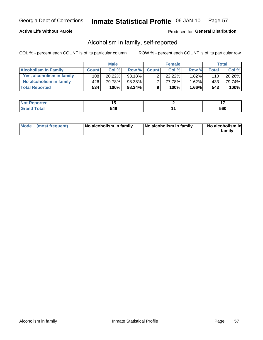## **Active Life Without Parole**

## Produced for General Distribution

## Alcoholism in family, self-reported

COL % - percent each COUNT is of its particular column

|                             |              | <b>Male</b> |           |              | <b>Female</b> |          |              | Total   |
|-----------------------------|--------------|-------------|-----------|--------------|---------------|----------|--------------|---------|
| <b>Alcoholism In Family</b> | <b>Count</b> | Col%        | Row %     | <b>Count</b> | Col%          | Row %    | <b>Total</b> | Col %   |
| Yes, alcoholism in family   | 108          | 20.22%      | 98.18%    | ົ            | 22.22%        | $1.82\%$ | 110          | 20.26%  |
| No alcoholism in family     | 426'         | 79.78%      | 98.38%    |              | 77.78%        | 1.62%    | 433          | 79.74%  |
| <b>Total Reported</b>       | 534          | 100%        | $98.34\%$ | 9            | 100%          | $1.66\%$ | 543          | $100\%$ |

| <b>Not Reported</b>          |     | . . |
|------------------------------|-----|-----|
| <b>Total</b><br><b>Grano</b> | 549 | 560 |

|  | Mode (most frequent) | No alcoholism in family | No alcoholism in family | No alcoholism in<br>family |
|--|----------------------|-------------------------|-------------------------|----------------------------|
|--|----------------------|-------------------------|-------------------------|----------------------------|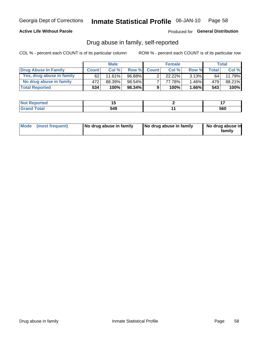## **Active Life Without Parole**

Produced for General Distribution

## Drug abuse in family, self-reported

COL % - percent each COUNT is of its particular column

|                           |              | <b>Male</b> |           |                | <b>Female</b> |          |              | Total   |
|---------------------------|--------------|-------------|-----------|----------------|---------------|----------|--------------|---------|
| Drug Abuse In Family      | <b>Count</b> | Col %       | Row %     | <b>Count</b>   | Col%          | Row %    | <b>Total</b> | Col %   |
| Yes, drug abuse in family | 62           | 11.61%      | 96.88%    | ◠              | 22.22%        | $3.13\%$ | 64           | 11.79%  |
| No drug abuse in family   | 472          | 88.39%      | $98.54\%$ | $\overline{ }$ | 77.78%        | 1.46%    | 479          | 88.21%  |
| <b>Total Reported</b>     | 534          | 100%        | $98.34\%$ | 9              | 100%          | $1.66\%$ | 543          | $100\%$ |

| <b>Reported</b><br><b>NOT</b> |     | $\cdot$ $\cdot$ |
|-------------------------------|-----|-----------------|
| <b>c</b> otal                 | 549 | 560             |

|  | Mode (most frequent) | No drug abuse in family | No drug abuse in family | No drug abuse in<br>familv |
|--|----------------------|-------------------------|-------------------------|----------------------------|
|--|----------------------|-------------------------|-------------------------|----------------------------|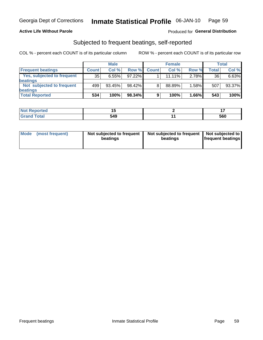## **Active Life Without Parole**

## Produced for General Distribution

## Subjected to frequent beatings, self-reported

COL % - percent each COUNT is of its particular column

|                                   |              | <b>Male</b> |        |              | <b>Female</b> |       |       | Total  |
|-----------------------------------|--------------|-------------|--------|--------------|---------------|-------|-------|--------|
| <b>Frequent beatings</b>          | <b>Count</b> | Col %       | Row %  | <b>Count</b> | Col %         | Row % | Total | Col %  |
| <b>Yes, subjected to frequent</b> | 35           | 6.55%       | 97.22% |              | 11.11%        | 2.78% | 36    | 6.63%  |
| <b>beatings</b>                   |              |             |        |              |               |       |       |        |
| Not subjected to frequent         | 499          | 93.45%      | 98.42% | 8            | 88.89%        | 1.58% | 507   | 93.37% |
| <b>beatings</b>                   |              |             |        |              |               |       |       |        |
| <b>Total Reported</b>             | 534          | 100%        | 98.34% | 9            | 100%          | 1.66% | 543   | 100%   |

| <b>Not Reported</b> |     |     |
|---------------------|-----|-----|
| <b>Grand Total</b>  | 549 | 560 |

| Mode (most frequent) | Not subjected to frequent<br>beatings | Not subjected to frequent<br>beatings | Not subjected to<br><b>frequent beatings</b> |
|----------------------|---------------------------------------|---------------------------------------|----------------------------------------------|
|                      |                                       |                                       |                                              |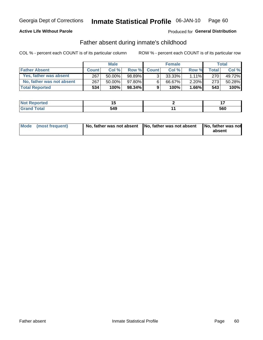## **Active Life Without Parole**

## Produced for General Distribution

## Father absent during inmate's childhood

COL % - percent each COUNT is of its particular column

|                           |              | <b>Male</b> |           |                | <b>Female</b> |          |       | Total   |
|---------------------------|--------------|-------------|-----------|----------------|---------------|----------|-------|---------|
| <b>Father Absent</b>      | <b>Count</b> | Col%        | Row %     | <b>Count</b>   | Col %         | Row %    | Total | Col %   |
| Yes, father was absent    | 267          | 50.00%      | 98.89%    | 3 <sub>1</sub> | $33.33\%$     | $1.11\%$ | 270   | 49.72%  |
| No, father was not absent | 267          | 50.00%      | 97.80%    | 6              | 66.67%        | 2.20%    | 273   | 50.28%  |
| <b>Total Reported</b>     | 534'         | 100%        | $98.34\%$ | 9              | 100%          | $1.66\%$ | 543   | $100\%$ |

| <b>Reported</b><br><b>NOT</b> |     |     |
|-------------------------------|-----|-----|
| <b>c</b> otal                 | 549 | 560 |

| Mode (most frequent) |  | No, father was not absent No, father was not absent No, father was not | absent |
|----------------------|--|------------------------------------------------------------------------|--------|
|----------------------|--|------------------------------------------------------------------------|--------|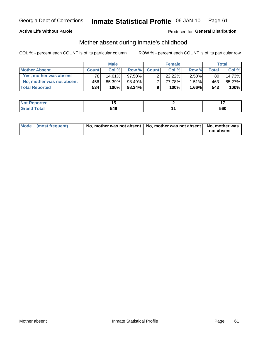## **Active Life Without Parole**

## Produced for General Distribution

## Mother absent during inmate's childhood

COL % - percent each COUNT is of its particular column

|                           | <b>Male</b>  |           |           | <b>Female</b> |        |          | Total |        |
|---------------------------|--------------|-----------|-----------|---------------|--------|----------|-------|--------|
| <b>Mother Absent</b>      | <b>Count</b> | Col%      | Row %     | <b>Count</b>  | Col %  | Row %    | Total | Col %  |
| Yes, mother was absent    | 781          | $14.61\%$ | $97.50\%$ | ົ             | 22.22% | $2.50\%$ | 80    | 14.73% |
| No, mother was not absent | 456 l        | 85.39%    | 98.49%    |               | 77.78% | $1.51\%$ | 463   | 85.27% |
| <b>Total Reported</b>     | 534          | $100\%$   | $98.34\%$ | 9             | 100%   | $1.66\%$ | 543   | 100%   |

| <b>Not Reported</b> |     | $\sim$ |
|---------------------|-----|--------|
| <b>Total</b>        | 549 | 560    |

| Mode (most frequent) | No, mother was not absent   No, mother was not absent   No, mother was | not absent |
|----------------------|------------------------------------------------------------------------|------------|
|                      |                                                                        |            |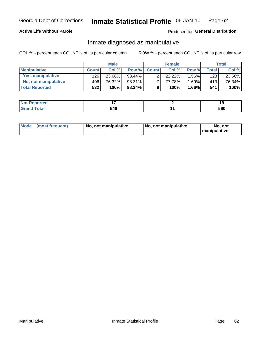## **Active Life Without Parole**

## Produced for General Distribution

## Inmate diagnosed as manipulative

COL % - percent each COUNT is of its particular column

|                          | <b>Male</b>  |        |           | <b>Female</b> |             |       | Total        |        |
|--------------------------|--------------|--------|-----------|---------------|-------------|-------|--------------|--------|
| <b>Manipulative</b>      | <b>Count</b> | Col %  | Row %     | <b>Count</b>  | Col %       | Row % | <b>Total</b> | Col %  |
| <b>Yes, manipulative</b> | 126          | 23.68% | 98.44%    | ົ             | $22.22\%$ . | 1.56% | 128          | 23.66% |
| No, not manipulative     | 406          | 76.32% | 98.31%    | ⇁             | 77.78%      | 1.69% | 413          | 76.34% |
| <b>Total Reported</b>    | 532          | 100%   | $98.34\%$ | 9             | 100%        | 1.66% | 541          | 100%   |

| <b>Reported</b><br><b>NOT</b> |     | 40<br>1 O |
|-------------------------------|-----|-----------|
| <b>otal</b>                   | 549 | 560       |

|  | Mode (most frequent) | No, not manipulative | No, not manipulative | No. not<br><b>I</b> manipulative |
|--|----------------------|----------------------|----------------------|----------------------------------|
|--|----------------------|----------------------|----------------------|----------------------------------|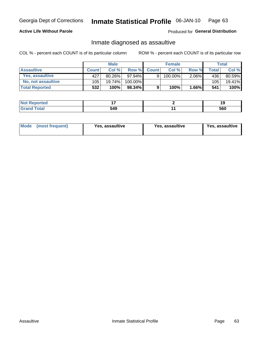#### Inmate Statistical Profile 06-JAN-10 Page 63

## **Active Life Without Parole**

Produced for General Distribution

## Inmate diagnosed as assaultive

COL % - percent each COUNT is of its particular column

|                           | <b>Male</b>  |           |           | <b>Female</b> |         |          | Total        |        |
|---------------------------|--------------|-----------|-----------|---------------|---------|----------|--------------|--------|
| <b>Assaultive</b>         | <b>Count</b> | Col %     | Row %     | <b>Count</b>  | Col %   | Row %    | <b>Total</b> | Col %  |
| Yes, assaultive           | 427          | $80.26\%$ | $97.94\%$ | 9             | 100.00% | $2.06\%$ | 436          | 80.59% |
| <b>No, not assaultive</b> | 105          | $19.74\%$ | 100.00%   |               |         |          | 105          | 19.41% |
| <b>Total Reported</b>     | 532'         | 100%      | $98.34\%$ | 9             | 100%    | $1.66\%$ | 541          | 100%   |

| <b>Not Reported</b> |     |     |
|---------------------|-----|-----|
| <b>Total</b>        | 549 | 560 |

| Mode (most frequent)<br>Yes, assaultive | Yes, assaultive | <b>Yes, assaultive</b> |
|-----------------------------------------|-----------------|------------------------|
|-----------------------------------------|-----------------|------------------------|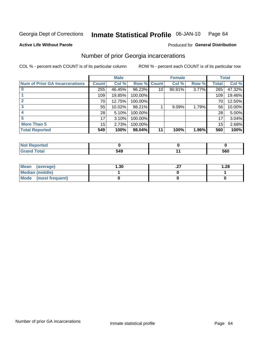#### Inmate Statistical Profile 06-JAN-10 Page 64

### **Active Life Without Parole**

## **Produced for General Distribution**

## Number of prior Georgia incarcerations

COL % - percent each COUNT is of its particular column

|                                       |              | <b>Male</b> |                    |                 | <b>Female</b> |       |       | <b>Total</b> |
|---------------------------------------|--------------|-------------|--------------------|-----------------|---------------|-------|-------|--------------|
| <b>Num of Prior GA Incarcerations</b> | <b>Count</b> | Col %       | <b>Row % Count</b> |                 | Col %         | Row % | Total | Col %        |
|                                       | 255          | 46.45%      | 96.23%             | 10 <sub>1</sub> | 90.91%        | 3.77% | 265   | 47.32%       |
|                                       | 109          | 19.85%      | 100.00%            |                 |               |       | 109   | 19.46%       |
|                                       | 70           | 12.75%      | 100.00%            |                 |               |       | 70    | 12.50%       |
|                                       | 55           | 10.02%      | 98.21%             |                 | 9.09%         | 1.79% | 56    | 10.00%       |
|                                       | 28           | 5.10%       | 100.00%            |                 |               |       | 28    | 5.00%        |
|                                       | 17           | 3.10%       | 100.00%            |                 |               |       | 17    | 3.04%        |
| <b>More Than 5</b>                    | 15           | 2.73%       | 100.00%            |                 |               |       | 15    | 2.68%        |
| <b>Total Reported</b>                 | 549          | 100%        | 98.04%             | 11              | 100%          | 1.96% | 560   | 100%         |

| eported<br><b>NI</b>             |           |     |
|----------------------------------|-----------|-----|
| <b>Fotal</b><br>$\mathbf{v}$ and | <b>10</b> | 560 |

| Mean (average)       | 1.30 | . | 1.28 |
|----------------------|------|---|------|
| Median (middle)      |      |   |      |
| Mode (most frequent) |      |   |      |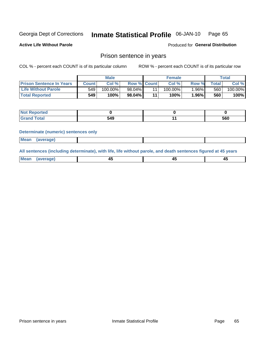#### Inmate Statistical Profile 06-JAN-10 Page 65

**Active Life Without Parole** 

Produced for General Distribution

## Prison sentence in years

COL % - percent each COUNT is of its particular column

ROW % - percent each COUNT is of its particular row

|                                 | <b>Male</b> |            |                    | <b>Female</b> |            |          | $\tau$ otal |            |
|---------------------------------|-------------|------------|--------------------|---------------|------------|----------|-------------|------------|
| <b>Prison Sentence In Years</b> | Count       | Col %      | <b>Row % Count</b> |               | Col %      | Row %    | Total       | Col %      |
| <b>Life Without Parole</b>      | 549         | $100.00\%$ | 98.04%             |               | $100.00\%$ | $1.96\%$ | 560         | $100.00\%$ |
| <b>Total Reported</b>           | 549         | 100%       | 98.04%             | 44            | 100%       | 1.96%    | 560         | 100%       |

| <b>Not Reported</b> |     |     |
|---------------------|-----|-----|
| <b>Total</b>        | 549 | 560 |

### **Determinate (numeric) sentences only**

| <b>Mean</b><br><i>(average)</i> |  |
|---------------------------------|--|
|---------------------------------|--|

All sentences (including determinate), with life, life without parole, and death sentences figured at 45 years

| l Mea<br>апе<br>. | -⊷ |  |
|-------------------|----|--|
|                   |    |  |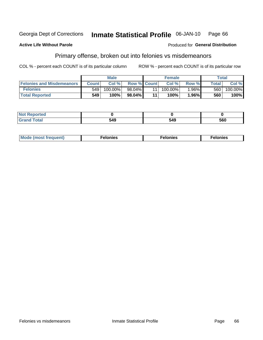#### Inmate Statistical Profile 06-JAN-10 Georgia Dept of Corrections Page 66

### **Active Life Without Parole**

### Produced for General Distribution

## Primary offense, broken out into felonies vs misdemeanors

COL % - percent each COUNT is of its particular column

|                                  | <b>Male</b>  |            |                    | <b>Female</b> |            |         | Total        |         |
|----------------------------------|--------------|------------|--------------------|---------------|------------|---------|--------------|---------|
| <b>Felonies and Misdemeanors</b> | <b>Count</b> | Col%       | <b>Row % Count</b> |               | Col%       | Row %   | <b>Total</b> | Col %   |
| <b>Felonies</b>                  | 549          | $100.00\%$ | $98.04\%$          |               | $100.00\%$ | $.96\%$ | 560          | 100.00% |
| <b>Total Reported</b>            | 549          | 100%       | 98.04%             | 44            | 100%       | $.96\%$ | 560          | 100%    |

| <b>Not Reported</b>         |             |     |     |
|-----------------------------|-------------|-----|-----|
| <b>Total</b><br>Gran<br>uuu | .40<br>. דע | 549 | 560 |

| Mode (most frequent)<br>elonies | Felonies | Felonies |
|---------------------------------|----------|----------|
|---------------------------------|----------|----------|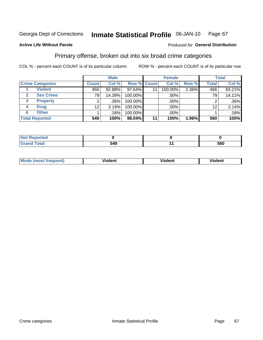#### Inmate Statistical Profile 06-JAN-10 Page 67

## **Active Life Without Parole**

### Produced for General Distribution

## Primary offense, broken out into six broad crime categories

COL % - percent each COUNT is of its particular column

|                         | <b>Male</b>     |        |             | <b>Female</b> |         |       | <b>Total</b>    |        |
|-------------------------|-----------------|--------|-------------|---------------|---------|-------|-----------------|--------|
| <b>Crime Categories</b> | <b>Count</b>    | Col %  | Row % Count |               | Col %   | Row % | <b>Total</b>    | Col %  |
| <b>Violent</b>          | 455             | 82.88% | 97.64%      | 11            | 100.00% | 2.36% | 466             | 83.21% |
| <b>Sex Crime</b>        | 79              | 14.39% | 100.00%     |               | .00%    |       | 79              | 14.11% |
| 3<br><b>Property</b>    | 2               | .36%   | 100.00%     |               | .00%    |       |                 | .36%   |
| <b>Drug</b><br>4        | 12 <sub>2</sub> | 2.19%  | 100.00%     |               | .00%    |       | 12 <sub>2</sub> | 2.14%  |
| <b>Other</b><br>6       |                 | .18%   | 100.00%     |               | .00%    |       |                 | .18%   |
| <b>Total Reported</b>   | 549             | 100%   | 98.04%      | 11            | 100%    | 1.96% | 560             | 100%   |

| <b>Not Reported</b> |     |     |
|---------------------|-----|-----|
| <b>Total</b>        | 549 | 560 |

| М | ,,, | - -- -<br>וחו | m |
|---|-----|---------------|---|
|   |     |               |   |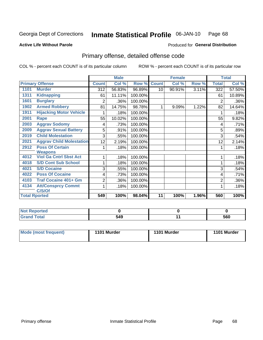### Inmate Statistical Profile 06-JAN-10 Page 68

**Produced for General Distribution** 

### **Active Life Without Parole**

## Primary offense, detailed offense code

COL % - percent each COUNT is of its particular column

|      |                                          |                | <b>Male</b> |         |              | <b>Female</b> |       |                | <b>Total</b> |
|------|------------------------------------------|----------------|-------------|---------|--------------|---------------|-------|----------------|--------------|
|      | <b>Primary Offense</b>                   | <b>Count</b>   | Col %       | Row %   | <b>Count</b> | Col %         | Row % | <b>Total</b>   | Col %        |
| 1101 | <b>Murder</b>                            | 312            | 56.83%      | 96.89%  | 10           | 90.91%        | 3.11% | 322            | 57.50%       |
| 1311 | <b>Kidnapping</b>                        | 61             | 11.11%      | 100.00% |              |               |       | 61             | 10.89%       |
| 1601 | <b>Burglary</b>                          | $\overline{2}$ | .36%        | 100.00% |              |               |       | $\overline{2}$ | .36%         |
| 1902 | <b>Armed Robbery</b>                     | 81             | 14.75%      | 98.78%  | 1            | 9.09%         | 1.22% | 82             | 14.64%       |
| 1911 | <b>Hijacking Motor Vehicle</b>           |                | .18%        | 100.00% |              |               |       |                | .18%         |
| 2001 | Rape                                     | 55             | 10.02%      | 100.00% |              |               |       | 55             | 9.82%        |
| 2003 | <b>Aggrav Sodomy</b>                     | 4              | .73%        | 100.00% |              |               |       | 4              | .71%         |
| 2009 | <b>Aggrav Sexual Battery</b>             | 5              | .91%        | 100.00% |              |               |       | 5              | .89%         |
| 2019 | <b>Child Molestation</b>                 | 3              | .55%        | 100.00% |              |               |       | 3              | .54%         |
| 2021 | <b>Aggrav Child Molestation</b>          | 12             | 2.19%       | 100.00% |              |               |       | 12             | 2.14%        |
| 2912 | <b>Poss Of Certain</b><br><b>Weapons</b> |                | .18%        | 100.00% |              |               |       |                | .18%         |
| 4012 | <b>Viol Ga Cntrl Sbst Act</b>            |                | .18%        | 100.00% |              |               |       |                | .18%         |
| 4018 | <b>S/D Cont Sub School</b>               | 1              | .18%        | 100.00% |              |               |       |                | .18%         |
| 4021 | <b>S/D Cocaine</b>                       | 3              | .55%        | 100.00% |              |               |       | 3              | .54%         |
| 4022 | <b>Poss Of Cocaine</b>                   | 4              | .73%        | 100.00% |              |               |       | 4              | .71%         |
| 4103 | <b>Traf Cocaine 401+ Gm</b>              | 2              | .36%        | 100.00% |              |               |       | 2              | .36%         |
| 4134 | <b>Att/Consprcy Commt</b>                | 1              | .18%        | 100.00% |              |               |       |                | .18%         |
|      | C/S/Of                                   |                |             |         |              |               |       |                |              |
|      | <b>Total Rported</b>                     | 549            | 100%        | 98.04%  | 11           | 100%          | 1.96% | 560            | 100%         |

| <b>NOT Reported</b> |     |     |
|---------------------|-----|-----|
| <b>otal</b>         | 549 | 560 |

| Mode (most frequent) | 1101 Murder | 1101 Murder | 1101 Murder |
|----------------------|-------------|-------------|-------------|
|----------------------|-------------|-------------|-------------|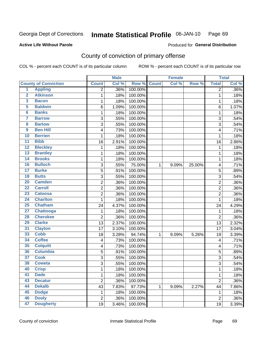#### Inmate Statistical Profile 06-JAN-10 Page 69

### **Active Life Without Parole**

## Produced for General Distribution

## County of conviction of primary offense

COL % - percent each COUNT is of its particular column

|                         |                             |                           | <b>Male</b> |         |              | <b>Female</b> |        |                  | <b>Total</b> |
|-------------------------|-----------------------------|---------------------------|-------------|---------|--------------|---------------|--------|------------------|--------------|
|                         | <b>County of Conviction</b> | <b>Count</b>              | Col %       | Row %   | <b>Count</b> | Col %         | Row %  | <b>Total</b>     | Col %        |
| 1                       | <b>Appling</b>              | 2                         | .36%        | 100.00% |              |               |        | 2                | .36%         |
| $\overline{2}$          | <b>Atkinson</b>             | 1                         | .18%        | 100.00% |              |               |        | $\mathbf{1}$     | .18%         |
| $\overline{\mathbf{3}}$ | <b>Bacon</b>                | 1                         | .18%        | 100.00% |              |               |        | $\mathbf 1$      | .18%         |
| 5                       | <b>Baldwin</b>              | 6                         | 1.09%       | 100.00% |              |               |        | 6                | 1.07%        |
| $6\phantom{a}$          | <b>Banks</b>                | 1                         | .18%        | 100.00% |              |               |        | 1                | .18%         |
| 7                       | <b>Barrow</b>               | $\ensuremath{\mathsf{3}}$ | .55%        | 100.00% |              |               |        | 3                | .54%         |
| 8                       | <b>Bartow</b>               | 3                         | .55%        | 100.00% |              |               |        | 3                | .54%         |
| 9                       | <b>Ben Hill</b>             | 4                         | .73%        | 100.00% |              |               |        | 4                | .71%         |
| 10                      | <b>Berrien</b>              | 1                         | .18%        | 100.00% |              |               |        | 1                | .18%         |
| $\overline{11}$         | <b>Bibb</b>                 | 16                        | 2.91%       | 100.00% |              |               |        | 16               | 2.86%        |
| 12                      | <b>Bleckley</b>             | 1                         | .18%        | 100.00% |              |               |        | $\mathbf 1$      | .18%         |
| 13                      | <b>Brantley</b>             | 1                         | .18%        | 100.00% |              |               |        | $\mathbf{1}$     | .18%         |
| $\overline{14}$         | <b>Brooks</b>               | 1                         | .18%        | 100.00% |              |               |        | $\mathbf 1$      | .18%         |
| 16                      | <b>Bulloch</b>              | $\sqrt{3}$                | .55%        | 75.00%  | 1            | 9.09%         | 25.00% | 4                | .71%         |
| $\overline{17}$         | <b>Burke</b>                | 5                         | .91%        | 100.00% |              |               |        | 5                | .89%         |
| 18                      | <b>Butts</b>                | $\overline{3}$            | .55%        | 100.00% |              |               |        | $\sqrt{3}$       | .54%         |
| 20                      | <b>Camden</b>               | 2                         | .36%        | 100.00% |              |               |        | $\overline{2}$   | .36%         |
| $\overline{22}$         | <b>Carroll</b>              | $\overline{2}$            | .36%        | 100.00% |              |               |        | $\overline{c}$   | .36%         |
| $\overline{23}$         | <b>Catoosa</b>              | 2                         | .36%        | 100.00% |              |               |        | $\overline{c}$   | .36%         |
| 24                      | <b>Charlton</b>             | 1                         | .18%        | 100.00% |              |               |        | 1                | .18%         |
| 25                      | <b>Chatham</b>              | 24                        | 4.37%       | 100.00% |              |               |        | 24               | 4.29%        |
| $\overline{27}$         | <b>Chattooga</b>            | 1                         | .18%        | 100.00% |              |               |        | 1                | .18%         |
| 28                      | <b>Cherokee</b>             | $\overline{c}$            | .36%        | 100.00% |              |               |        | $\overline{2}$   | .36%         |
| 29                      | <b>Clarke</b>               | 13                        | 2.37%       | 100.00% |              |               |        | 13               | 2.32%        |
| 31                      | <b>Clayton</b>              | 17                        | 3.10%       | 100.00% |              |               |        | 17               | 3.04%        |
| 33                      | <b>Cobb</b>                 | 18                        | 3.28%       | 94.74%  | 1            | 9.09%         | 5.26%  | 19               | 3.39%        |
| 34                      | <b>Coffee</b>               | 4                         | .73%        | 100.00% |              |               |        | 4                | .71%         |
| 35                      | <b>Colquitt</b>             | 4                         | .73%        | 100.00% |              |               |        | 4                | .71%         |
| 36                      | <b>Columbia</b>             | 5                         | .91%        | 100.00% |              |               |        | 5                | .89%         |
| 37                      | <b>Cook</b>                 | $\sqrt{3}$                | .55%        | 100.00% |              |               |        | 3                | .54%         |
| 38                      | <b>Coweta</b>               | 3                         | .55%        | 100.00% |              |               |        | 3                | .54%         |
| 40                      | <b>Crisp</b>                | 1                         | .18%        | 100.00% |              |               |        | 1                | .18%         |
| 41                      | <b>Dade</b>                 | 1                         | .18%        | 100.00% |              |               |        | 1                | .18%         |
| 43                      | <b>Decatur</b>              | $\overline{2}$            | .36%        | 100.00% |              |               |        | $\overline{2}$   | .36%         |
| 44                      | <b>Dekalb</b>               | 43                        | 7.83%       | 97.73%  | 1            | 9.09%         | 2.27%  | 44               | 7.86%        |
| 45                      | <b>Dodge</b>                | 1                         | .18%        | 100.00% |              |               |        | 1                | .18%         |
| 46                      | <b>Dooly</b>                | $\boldsymbol{2}$          | .36%        | 100.00% |              |               |        | $\boldsymbol{2}$ | .36%         |
| 47                      | <b>Dougherty</b>            | 19                        | 3.46%       | 100.00% |              |               |        | 19               | 3.39%        |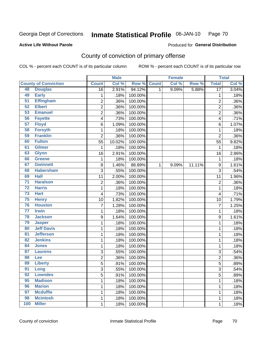#### Inmate Statistical Profile 06-JAN-10 Page 70

## **Active Life Without Parole**

## Produced for General Distribution

## County of conviction of primary offense

COL % - percent each COUNT is of its particular column

|                 |                             |                           | <b>Male</b> |         |              | <b>Female</b> |        |                  | <b>Total</b> |
|-----------------|-----------------------------|---------------------------|-------------|---------|--------------|---------------|--------|------------------|--------------|
|                 | <b>County of Conviction</b> | <b>Count</b>              | Col %       | Row %   | <b>Count</b> | Col %         | Row %  | <b>Total</b>     | Col %        |
| 48              | <b>Douglas</b>              | 16                        | 2.91%       | 94.12%  | 1            | 9.09%         | 5.88%  | $\overline{17}$  | 3.04%        |
| 49              | <b>Early</b>                | 1                         | .18%        | 100.00% |              |               |        | 1                | .18%         |
| $\overline{51}$ | <b>Effingham</b>            | 2                         | .36%        | 100.00% |              |               |        | $\overline{2}$   | .36%         |
| 52              | <b>Elbert</b>               | $\overline{2}$            | .36%        | 100.00% |              |               |        | $\overline{2}$   | .36%         |
| 53              | <b>Emanuel</b>              | $\overline{c}$            | .36%        | 100.00% |              |               |        | $\overline{2}$   | .36%         |
| 56              | <b>Fayette</b>              | 4                         | .73%        | 100.00% |              |               |        | 4                | .71%         |
| 57              | <b>Floyd</b>                | 6                         | 1.09%       | 100.00% |              |               |        | 6                | 1.07%        |
| 58              | <b>Forsyth</b>              | 1                         | .18%        | 100.00% |              |               |        | 1                | .18%         |
| 59              | <b>Franklin</b>             | $\overline{2}$            | .36%        | 100.00% |              |               |        | $\overline{2}$   | .36%         |
| 60              | <b>Fulton</b>               | 55                        | 10.02%      | 100.00% |              |               |        | 55               | 9.82%        |
| 61              | <b>Gilmer</b>               | 1                         | .18%        | 100.00% |              |               |        | 1                | .18%         |
| 63              | <b>Glynn</b>                | 16                        | 2.91%       | 100.00% |              |               |        | 16               | 2.86%        |
| 66              | <b>Greene</b>               | 1                         | .18%        | 100.00% |              |               |        | 1                | .18%         |
| 67              | <b>Gwinnett</b>             | 8                         | 1.46%       | 88.89%  | 1            | 9.09%         | 11.11% | $\boldsymbol{9}$ | 1.61%        |
| 68              | <b>Habersham</b>            | 3                         | .55%        | 100.00% |              |               |        | 3                | .54%         |
| 69              | <b>Hall</b>                 | 11                        | 2.00%       | 100.00% |              |               |        | 11               | 1.96%        |
| $\overline{71}$ | <b>Haralson</b>             | $\overline{2}$            | .36%        | 100.00% |              |               |        | $\overline{2}$   | .36%         |
| $\overline{72}$ | <b>Harris</b>               | 1                         | .18%        | 100.00% |              |               |        | 1                | .18%         |
| 73              | <b>Hart</b>                 | $\overline{\mathcal{A}}$  | .73%        | 100.00% |              |               |        | 4                | .71%         |
| 75              | <b>Henry</b>                | 10                        | 1.82%       | 100.00% |              |               |        | 10               | 1.79%        |
| 76              | <b>Houston</b>              | 7                         | 1.28%       | 100.00% |              |               |        | $\overline{7}$   | 1.25%        |
| $\overline{77}$ | <b>Irwin</b>                | 1                         | .18%        | 100.00% |              |               |        | 1                | .18%         |
| 78              | <b>Jackson</b>              | 9                         | 1.64%       | 100.00% |              |               |        | 9                | 1.61%        |
| 79              | <b>Jasper</b>               | 1                         | .18%        | 100.00% |              |               |        | 1                | .18%         |
| 80              | <b>Jeff Davis</b>           | 1                         | .18%        | 100.00% |              |               |        | 1                | .18%         |
| $\overline{81}$ | <b>Jefferson</b>            | 1                         | .18%        | 100.00% |              |               |        | 1                | .18%         |
| 82              | <b>Jenkins</b>              | 1                         | .18%        | 100.00% |              |               |        | 1                | .18%         |
| 84              | <b>Jones</b>                | 1                         | .18%        | 100.00% |              |               |        | 1                | .18%         |
| 87              | <b>Laurens</b>              | 3                         | .55%        | 100.00% |              |               |        | 3                | .54%         |
| 88              | Lee                         | $\overline{c}$            | .36%        | 100.00% |              |               |        | $\overline{2}$   | .36%         |
| 89              | <b>Liberty</b>              | 5                         | .91%        | 100.00% |              |               |        | 5                | .89%         |
| $\overline{91}$ | Long                        | $\ensuremath{\mathsf{3}}$ | .55%        | 100.00% |              |               |        | 3                | .54%         |
| 92              | <b>Lowndes</b>              | $\overline{5}$            | .91%        | 100.00% |              |               |        | 5                | .89%         |
| 95              | <b>Madison</b>              | 1                         | .18%        | 100.00% |              |               |        | 1                | .18%         |
| 96              | <b>Marion</b>               | 1                         | .18%        | 100.00% |              |               |        | 1                | .18%         |
| 97              | <b>Mcduffie</b>             | 1                         | .18%        | 100.00% |              |               |        | 1                | .18%         |
| 98              | <b>Mcintosh</b>             | 1                         | .18%        | 100.00% |              |               |        | 1                | .18%         |
| 100             | <b>Miller</b>               | 1                         | .18%        | 100.00% |              |               |        | 1                | .18%         |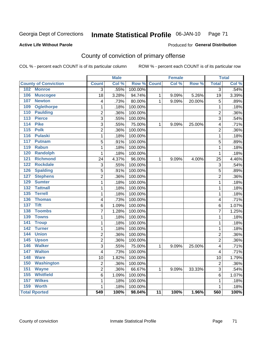#### Inmate Statistical Profile 06-JAN-10 Page 71

### **Active Life Without Parole**

### Produced for General Distribution

## County of conviction of primary offense

COL % - percent each COUNT is of its particular column

|                                     |                  | <b>Male</b> |         |                 | <b>Female</b> |        |                | <b>Total</b> |
|-------------------------------------|------------------|-------------|---------|-----------------|---------------|--------|----------------|--------------|
| <b>County of Conviction</b>         | <b>Count</b>     | Col %       | Row %   | <b>Count</b>    | Col %         | Row %  | <b>Total</b>   | Col %        |
| 102 Monroe                          | $\overline{3}$   | .55%        | 100.00% |                 |               |        | $\overline{3}$ | .54%         |
| 106<br><b>Muscogee</b>              | 18               | 3.28%       | 94.74%  | 1               | 9.09%         | 5.26%  | 19             | 3.39%        |
| 107<br><b>Newton</b>                | 4                | .73%        | 80.00%  | $\mathbf{1}$    | 9.09%         | 20.00% | 5              | .89%         |
| 109<br><b>Oglethorpe</b>            | $\mathbf 1$      | .18%        | 100.00% |                 |               |        | $\mathbf 1$    | .18%         |
| 110<br><b>Paulding</b>              | $\overline{c}$   | .36%        | 100.00% |                 |               |        | $\overline{2}$ | .36%         |
| 113<br><b>Pierce</b>                | $\overline{3}$   | .55%        | 100.00% |                 |               |        | $\overline{3}$ | .54%         |
| <b>Pike</b><br>114                  | 3                | .55%        | 75.00%  | $\mathbf{1}$    | 9.09%         | 25.00% | 4              | .71%         |
| 115<br><b>Polk</b>                  | $\overline{2}$   | .36%        | 100.00% |                 |               |        | $\overline{2}$ | .36%         |
| <b>Pulaski</b><br>116               | $\mathbf 1$      | .18%        | 100.00% |                 |               |        | $\mathbf{1}$   | .18%         |
| 117<br><b>Putnam</b>                | 5                | .91%        | 100.00% |                 |               |        | 5              | .89%         |
| 119<br><b>Rabun</b>                 | $\mathbf 1$      | .18%        | 100.00% |                 |               |        | $\mathbf{1}$   | .18%         |
| <b>Randolph</b><br>120              | $\mathbf{1}$     | .18%        | 100.00% |                 |               |        | $\mathbf{1}$   | .18%         |
| <b>Richmond</b><br>121              | 24               | 4.37%       | 96.00%  | $\mathbf{1}$    | 9.09%         | 4.00%  | 25             | 4.46%        |
| 122<br><b>Rockdale</b>              | 3                | .55%        | 100.00% |                 |               |        | $\mathsf 3$    | .54%         |
| <b>Spalding</b><br>126              | 5                | .91%        | 100.00% |                 |               |        | 5              | .89%         |
| <b>Stephens</b><br>127              | $\overline{2}$   | .36%        | 100.00% |                 |               |        | $\overline{2}$ | .36%         |
| <b>Sumter</b><br>129                | 1                | .18%        | 100.00% |                 |               |        | 1              | .18%         |
| $\overline{132}$<br><b>Tattnall</b> | $\mathbf{1}$     | .18%        | 100.00% |                 |               |        | 1              | .18%         |
| 135<br><b>Terrell</b>               | $\mathbf{1}$     | .18%        | 100.00% |                 |               |        | $\mathbf{1}$   | .18%         |
| 136<br><b>Thomas</b>                | 4                | .73%        | 100.00% |                 |               |        | 4              | .71%         |
| <b>Tift</b><br>137                  | 6                | 1.09%       | 100.00% |                 |               |        | 6              | 1.07%        |
| 138<br><b>Toombs</b>                | $\overline{7}$   | 1.28%       | 100.00% |                 |               |        | $\overline{7}$ | 1.25%        |
| 139<br><b>Towns</b>                 | $\mathbf 1$      | .18%        | 100.00% |                 |               |        | $\mathbf 1$    | .18%         |
| 141<br><b>Troup</b>                 | $\mathbf 1$      | .18%        | 100.00% |                 |               |        | $\mathbf 1$    | .18%         |
| 142<br><b>Turner</b>                | $\mathbf 1$      | .18%        | 100.00% |                 |               |        | $\mathbf 1$    | .18%         |
| <b>Union</b><br>144                 | $\overline{2}$   | .36%        | 100.00% |                 |               |        | $\overline{2}$ | .36%         |
| 145<br><b>Upson</b>                 | $\overline{2}$   | .36%        | 100.00% |                 |               |        | $\overline{2}$ | .36%         |
| <b>Walker</b><br>146                | $\overline{3}$   | .55%        | 75.00%  | 1               | 9.09%         | 25.00% | 4              | .71%         |
| 147<br><b>Walton</b>                | $\overline{4}$   | .73%        | 100.00% |                 |               |        | 4              | .71%         |
| <b>Ware</b><br>148                  | 10               | 1.82%       | 100.00% |                 |               |        | 10             | 1.79%        |
| 150<br><b>Washington</b>            | $\overline{2}$   | .36%        | 100.00% |                 |               |        | $\overline{2}$ | .36%         |
| 151<br><b>Wayne</b>                 | $\overline{2}$   | .36%        | 66.67%  | 1               | 9.09%         | 33.33% | $\overline{3}$ | .54%         |
| 155<br><b>Whitfield</b>             | 6                | 1.09%       | 100.00% |                 |               |        | 6              | 1.07%        |
| <b>Wilkes</b><br>157                | $\mathbf{1}$     | .18%        | 100.00% |                 |               |        | $\mathbf{1}$   | .18%         |
| 159<br><b>Worth</b>                 | 1                | .18%        | 100.00% |                 |               |        | $\mathbf{1}$   | .18%         |
| <b>Total Rported</b>                | $\overline{549}$ | 100%        | 98.04%  | $\overline{11}$ | 100%          | 1.96%  | 560            | 100%         |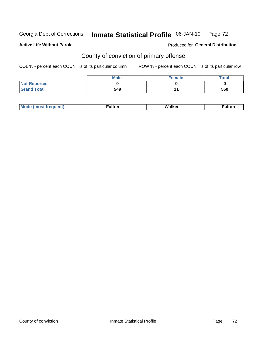#### Inmate Statistical Profile 06-JAN-10 Page 72

### **Active Life Without Parole**

### Produced for General Distribution

## County of conviction of primary offense

COL % - percent each COUNT is of its particular column

|                     | <b>Male</b> | <b>Female</b> | Total |
|---------------------|-------------|---------------|-------|
| <b>Not Reported</b> |             |               |       |
| <b>Grand Total</b>  | 549         |               | 560   |

|  | M.<br>. | .<br>ull | alker<br>w | . |
|--|---------|----------|------------|---|
|--|---------|----------|------------|---|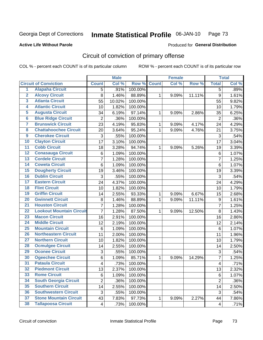Georgia Dept of Corrections

### Inmate Statistical Profile 06-JAN-10 Page 73

### **Active Life Without Parole**

## **Produced for General Distribution**

# Circuit of conviction of primary offense

COL % - percent each COUNT is of its particular column

|                         |                                 |                | <b>Male</b> |         |              | <b>Female</b> |        |                  | <b>Total</b> |
|-------------------------|---------------------------------|----------------|-------------|---------|--------------|---------------|--------|------------------|--------------|
|                         | <b>Circuit of Conviction</b>    | <b>Count</b>   | Col %       | Row %   | <b>Count</b> | Col%          | Row %  | <b>Total</b>     | Col %        |
| 1                       | <b>Alapaha Circuit</b>          | 5              | .91%        | 100.00% |              |               |        | 5                | .89%         |
| $\overline{2}$          | <b>Alcovy Circuit</b>           | 8              | 1.46%       | 88.89%  | 1            | 9.09%         | 11.11% | $\boldsymbol{9}$ | 1.61%        |
| $\overline{\mathbf{3}}$ | <b>Atlanta Circuit</b>          | 55             | 10.02%      | 100.00% |              |               |        | 55               | 9.82%        |
| 4                       | <b>Atlantic Circuit</b>         | 10             | 1.82%       | 100.00% |              |               |        | 10               | 1.79%        |
| 5                       | <b>Augusta Circuit</b>          | 34             | 6.19%       | 97.14%  | $\mathbf{1}$ | 9.09%         | 2.86%  | 35               | 6.25%        |
| $\overline{6}$          | <b>Blue Ridge Circuit</b>       | $\overline{2}$ | .36%        | 100.00% |              |               |        | $\overline{2}$   | .36%         |
| $\overline{\mathbf{7}}$ | <b>Brunswick Circuit</b>        | 23             | 4.19%       | 95.83%  | 1            | 9.09%         | 4.17%  | 24               | 4.29%        |
| $\overline{\mathbf{8}}$ | <b>Chattahoochee Circuit</b>    | 20             | 3.64%       | 95.24%  | 1            | 9.09%         | 4.76%  | 21               | 3.75%        |
| $\overline{9}$          | <b>Cherokee Circuit</b>         | 3              | .55%        | 100.00% |              |               |        | 3                | .54%         |
| 10                      | <b>Clayton Circuit</b>          | 17             | 3.10%       | 100.00% |              |               |        | 17               | 3.04%        |
| $\overline{11}$         | <b>Cobb Circuit</b>             | 18             | 3.28%       | 94.74%  | 1            | 9.09%         | 5.26%  | 19               | 3.39%        |
| $\overline{12}$         | <b>Conasauga Circuit</b>        | 6              | 1.09%       | 100.00% |              |               |        | $\,6$            | 1.07%        |
| 13                      | <b>Cordele Circuit</b>          | 7              | 1.28%       | 100.00% |              |               |        | $\overline{7}$   | 1.25%        |
| 14                      | <b>Coweta Circuit</b>           | 6              | 1.09%       | 100.00% |              |               |        | $\,6$            | 1.07%        |
| 15                      | <b>Dougherty Circuit</b>        | 19             | 3.46%       | 100.00% |              |               |        | 19               | 3.39%        |
| 16                      | <b>Dublin Circuit</b>           | 3              | .55%        | 100.00% |              |               |        | 3                | .54%         |
| 17                      | <b>Eastern Circuit</b>          | 24             | 4.37%       | 100.00% |              |               |        | 24               | 4.29%        |
| 18                      | <b>Flint Circuit</b>            | 10             | 1.82%       | 100.00% |              |               |        | 10               | 1.79%        |
| 19                      | <b>Griffin Circuit</b>          | 14             | 2.55%       | 93.33%  | 1            | 9.09%         | 6.67%  | 15               | 2.68%        |
| 20                      | <b>Gwinnett Circuit</b>         | 8              | 1.46%       | 88.89%  | 1            | 9.09%         | 11.11% | $\boldsymbol{9}$ | 1.61%        |
| $\overline{21}$         | <b>Houston Circuit</b>          | $\overline{7}$ | 1.28%       | 100.00% |              |               |        | $\overline{7}$   | 1.25%        |
| $\overline{22}$         | <b>Lookout Mountain Circuit</b> | $\overline{7}$ | 1.28%       | 87.50%  | 1            | 9.09%         | 12.50% | 8                | 1.43%        |
| 23                      | <b>Macon Circuit</b>            | 16             | 2.91%       | 100.00% |              |               |        | 16               | 2.86%        |
| $\overline{24}$         | <b>Middle Circuit</b>           | 12             | 2.19%       | 100.00% |              |               |        | 12               | 2.14%        |
| $\overline{25}$         | <b>Mountain Circuit</b>         | 6              | 1.09%       | 100.00% |              |               |        | $6\phantom{1}6$  | 1.07%        |
| 26                      | <b>Northeastern Circuit</b>     | 11             | 2.00%       | 100.00% |              |               |        | 11               | 1.96%        |
| $\overline{27}$         | <b>Northern Circuit</b>         | 10             | 1.82%       | 100.00% |              |               |        | 10               | 1.79%        |
| 28                      | <b>Ocmulgee Circuit</b>         | 14             | 2.55%       | 100.00% |              |               |        | 14               | 2.50%        |
| 29                      | <b>Oconee Circuit</b>           | 3              | .55%        | 100.00% |              |               |        | 3                | .54%         |
| 30                      | <b>Ogeechee Circuit</b>         | 6              | 1.09%       | 85.71%  | 1            | 9.09%         | 14.29% | $\overline{7}$   | 1.25%        |
| $\overline{31}$         | <b>Pataula Circuit</b>          | 4              | .73%        | 100.00% |              |               |        | 4                | .71%         |
| 32                      | <b>Piedmont Circuit</b>         | 13             | 2.37%       | 100.00% |              |               |        | 13               | 2.32%        |
| 33                      | <b>Rome Circuit</b>             | 6              | 1.09%       | 100.00% |              |               |        | 6                | 1.07%        |
| 34                      | <b>South Georgia Circuit</b>    | $\overline{2}$ | .36%        | 100.00% |              |               |        | $\overline{2}$   | .36%         |
| 35                      | <b>Southern Circuit</b>         | 14             | 2.55%       | 100.00% |              |               |        | 14               | 2.50%        |
| 36                      | <b>Southwestern Circuit</b>     | 3              | .55%        | 100.00% |              |               |        | 3                | .54%         |
| 37                      | <b>Stone Mountain Circuit</b>   | 43             | 7.83%       | 97.73%  | 1            | 9.09%         | 2.27%  | 44               | 7.86%        |
| 38                      | <b>Tallapoosa Circuit</b>       | $\overline{4}$ | .73%        | 100.00% |              |               |        | 4                | .71%         |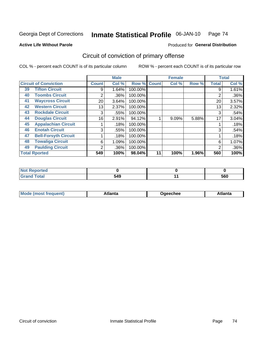Georgia Dept of Corrections

### Inmate Statistical Profile 06-JAN-10 Page 74

**Active Life Without Parole** 

Produced for General Distribution

# Circuit of conviction of primary offense

COL % - percent each COUNT is of its particular column

|                              |                             |              | <b>Male</b> |         |             | <b>Female</b> |       |                | <b>Total</b> |
|------------------------------|-----------------------------|--------------|-------------|---------|-------------|---------------|-------|----------------|--------------|
| <b>Circuit of Conviction</b> |                             | <b>Count</b> | Col %       |         | Row % Count | Col %         | Row % | <b>Total</b>   | Col %        |
| 39                           | <b>Tifton Circuit</b>       | 9            | 1.64%       | 100.00% |             |               |       | 9              | 1.61%        |
| 40                           | <b>Toombs Circuit</b>       | 2            | .36%        | 100.00% |             |               |       | 2              | .36%         |
| 41                           | <b>Waycross Circuit</b>     | 20           | 3.64%       | 100.00% |             |               |       | 20             | 3.57%        |
| 42                           | <b>Western Circuit</b>      | 13           | 2.37%       | 100.00% |             |               |       | 13             | 2.32%        |
| 43                           | <b>Rockdale Circuit</b>     | 3            | .55%        | 100.00% |             |               |       | 3              | .54%         |
| 44                           | <b>Douglas Circuit</b>      | 16           | $2.91\%$    | 94.12%  |             | 9.09%         | 5.88% | 17             | 3.04%        |
| 45                           | <b>Appalachian Circuit</b>  |              | .18%        | 100.00% |             |               |       |                | .18%         |
| 46                           | <b>Enotah Circuit</b>       | 3            | .55%        | 100.00% |             |               |       | 3              | .54%         |
| 47                           | <b>Bell-Forsyth Circuit</b> |              | .18%        | 100.00% |             |               |       |                | .18%         |
| 48                           | <b>Towaliga Circuit</b>     | 6            | 1.09%       | 100.00% |             |               |       | 6              | 1.07%        |
| 49                           | <b>Paulding Circuit</b>     | 2            | .36%        | 100.00% |             |               |       | $\overline{2}$ | .36%         |
| <b>Total Rported</b>         |                             | 549          | 100%        | 98.04%  | 11          | 100%          | 1.96% | 560            | 100%         |

| .<br>eportea          |     |     |
|-----------------------|-----|-----|
| <b>otal</b><br>$\sim$ | 549 | 560 |

| Mc<br>tlanta<br>\tlanta<br>echee: |
|-----------------------------------|
|-----------------------------------|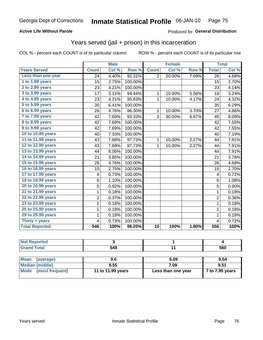## **Active Life Without Parole**

## Produced for General Distribution

## Years served (jail + prison) in this incarceration

COL % - percent each COUNT is of its particular column

|                       |                | <b>Male</b> |         |                | <b>Female</b>             |       |                         | <b>Total</b> |
|-----------------------|----------------|-------------|---------|----------------|---------------------------|-------|-------------------------|--------------|
| <b>Years Served</b>   | <b>Count</b>   | Col %       | Row %   | <b>Count</b>   | $\overline{\text{Col}}$ % | Row % | <b>Total</b>            | Col %        |
| Less than one year    | 24             | 4.40%       | 92.31%  | $\overline{2}$ | 20.00%                    | 7.69% | $\overline{26}$         | 4.68%        |
| 1 to 1.99 years       | 15             | 2.75%       | 100.00% |                |                           |       | 15                      | 2.70%        |
| 2 to 2.99 years       | 23             | 4.21%       | 100.00% |                |                           |       | 23                      | 4.14%        |
| 3 to 3.99 years       | 17             | 3.11%       | 94.44%  | 1              | 10.00%                    | 5.56% | 18                      | 3.24%        |
| 4 to 4.99 years       | 23             | 4.21%       | 95.83%  | $\mathbf{1}$   | 10.00%                    | 4.17% | 24                      | 4.32%        |
| $5$ to $5.99$ years   | 35             | 6.41%       | 100.00% |                |                           |       | 35                      | 6.29%        |
| 6 to 6.99 years       | 26             | 4.76%       | 96.30%  | $\mathbf 1$    | 10.00%                    | 3.70% | 27                      | 4.86%        |
| 7 to 7.99 years       | 42             | 7.69%       | 93.33%  | 3              | 30.00%                    | 6.67% | 45                      | 8.09%        |
| 8 to 8.99 years       | 42             | 7.69%       | 100.00% |                |                           |       | 42                      | 7.55%        |
| 9 to 9.99 years       | 42             | 7.69%       | 100.00% |                |                           |       | 42                      | 7.55%        |
| 10 to 10.99 years     | 40             | 7.33%       | 100.00% |                |                           |       | 40                      | 7.19%        |
| 11 to 11.99 years     | 43             | 7.88%       | 97.73%  | $\mathbf{1}$   | 10.00%                    | 2.27% | 44                      | 7.91%        |
| 12 to 12.99 years     | 43             | 7.88%       | 97.73%  | 1              | 10.00%                    | 2.27% | 44                      | 7.91%        |
| 13 to 13.99 years     | 44             | 8.06%       | 100.00% |                |                           |       | 44                      | 7.91%        |
| 14 to 14.99 years     | 21             | 3.85%       | 100.00% |                |                           |       | 21                      | 3.78%        |
| 15 to 15.99 years     | 26             | 4.76%       | 100.00% |                |                           |       | 26                      | 4.68%        |
| 16 to 16.99 years     | 15             | 2.75%       | 100.00% |                |                           |       | 15                      | 2.70%        |
| 17 to 17.99 years     | 4              | 0.73%       | 100.00% |                |                           |       | 4                       | 0.72%        |
| 18 to 18.99 years     | 6              | 1.10%       | 100.00% |                |                           |       | 6                       | 1.08%        |
| 20 to 20.99 years     | 5              | 0.92%       | 100.00% |                |                           |       | $\overline{5}$          | 0.90%        |
| 21 to 21.99 years     | 1              | 0.18%       | 100.00% |                |                           |       | $\mathbf{1}$            | 0.18%        |
| 22 to 22.99 years     | $\overline{c}$ | 0.37%       | 100.00% |                |                           |       | $\overline{c}$          | 0.36%        |
| 23 to 23.99 years     | $\mathbf 1$    | 0.18%       | 100.00% |                |                           |       | $\mathbf{1}$            | 0.18%        |
| 25 to 25.99 years     | $\mathbf 1$    | 0.18%       | 100.00% |                |                           |       | $\mathbf 1$             | 0.18%        |
| 29 to 29.99 years     | $\mathbf 1$    | 0.18%       | 100.00% |                |                           |       | $\mathbf{1}$            | 0.18%        |
| Thirty $+$ years      | 4              | 0.73%       | 100.00% |                |                           |       | $\overline{\mathbf{4}}$ | 0.72%        |
| <b>Total Reported</b> | 546            | 100%        | 98.20%  | 10             | 100%                      | 1.80% | 556                     | 100%         |

| <b>Not Reported</b>      |                   |                    |                 |
|--------------------------|-------------------|--------------------|-----------------|
| <b>Grand Total</b>       | 549               |                    | 560             |
|                          |                   |                    |                 |
| <b>Mean</b><br>(average) | 9.6               | 6.09               | 9.54            |
| <b>Median (middle)</b>   | 9.55              | 7.09               | 9.51            |
| Mode<br>(most frequent)  | 11 to 11.99 years | Less than one year | 7 to 7.99 years |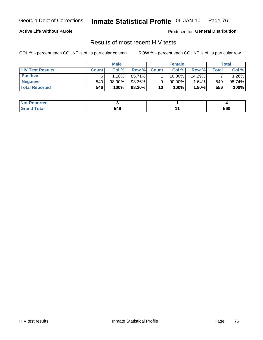Georgia Dept of Corrections

#### Inmate Statistical Profile 06-JAN-10 Page 76

### **Active Life Without Parole**

Produced for General Distribution

## Results of most recent HIV tests

COL % - percent each COUNT is of its particular column

|                         |              | <b>Male</b> |        |              | <b>Female</b> |          |       | Total  |
|-------------------------|--------------|-------------|--------|--------------|---------------|----------|-------|--------|
| <b>HIV Test Results</b> | <b>Count</b> | Col %       | Row %I | <b>Count</b> | Col %         | Row %    | Total | Col %  |
| <b>Positive</b>         |              | 10%         | 85.71% |              | 10.00%        | 14.29%   |       | 1.26%  |
| <b>Negative</b>         | 540          | 98.90%      | 98.36% |              | 90.00%        | $1.64\%$ | 549   | 98.74% |
| <b>Total Reported</b>   | 546          | 100%        | 98.20% | 10           | 100%          | 1.80%    | 556   | 100%   |

| ported<br>. NOT |     |     |
|-----------------|-----|-----|
| <b>otal</b>     | 549 | 560 |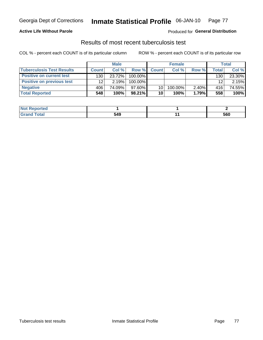## **Active Life Without Parole**

Produced for General Distribution

## Results of most recent tuberculosis test

COL % - percent each COUNT is of its particular column

|                                  |              | <b>Male</b> |           |              | <b>Female</b> |          |       | <b>Total</b> |
|----------------------------------|--------------|-------------|-----------|--------------|---------------|----------|-------|--------------|
| <b>Tuberculosis Test Results</b> | <b>Count</b> | Col%        | Row %I    | <b>Count</b> | Col%          | Row %    | Total | Col %        |
| <b>Positive on current test</b>  | 130          | 23.72%      | 100.00%   |              |               |          | 130   | 23.30%       |
| <b>Positive on previous test</b> | 12           | 2.19%       | 100.00%   |              |               |          | 12    | 2.15%        |
| <b>Negative</b>                  | 406          | 74.09%      | 97.60%    | 10           | 100.00%       | $2.40\%$ | 416   | 74.55%       |
| <b>Total Reported</b>            | 548          | 100%        | $98.21\%$ | 10           | 100%          | 1.79%    | 558   | 100%         |

| ?eported     |     |     |
|--------------|-----|-----|
| <b>Total</b> | 549 | 560 |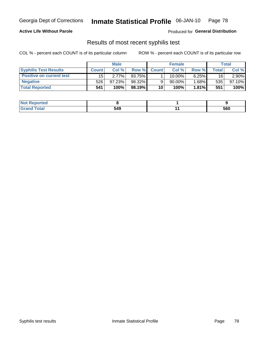### **Active Life Without Parole**

Produced for General Distribution

## Results of most recent syphilis test

COL % - percent each COUNT is of its particular column

|                                 |              | <b>Male</b> |        |              | <b>Female</b> |          |       | Total  |
|---------------------------------|--------------|-------------|--------|--------------|---------------|----------|-------|--------|
| <b>Syphilis Test Results</b>    | <b>Count</b> | Col %       | Row %  | <b>Count</b> | Col %         | Row %I   | Total | Col %  |
| <b>Positive on current test</b> | 15           | 2.77%       | 93.75% |              | 10.00%        | 6.25%    | 16    | 2.90%  |
| <b>Negative</b>                 | 526          | $97.23\%$   | 98.32% |              | 90.00%        | $1.68\%$ | 535   | 97.10% |
| <b>Total Reported</b>           | 541          | 100%        | 98.19% | 10           | 100%          | $1.81\%$ | 551   | 100%   |

| <b>Not Reported</b> |     |     |
|---------------------|-----|-----|
| <b>Total</b>        | 549 | 560 |